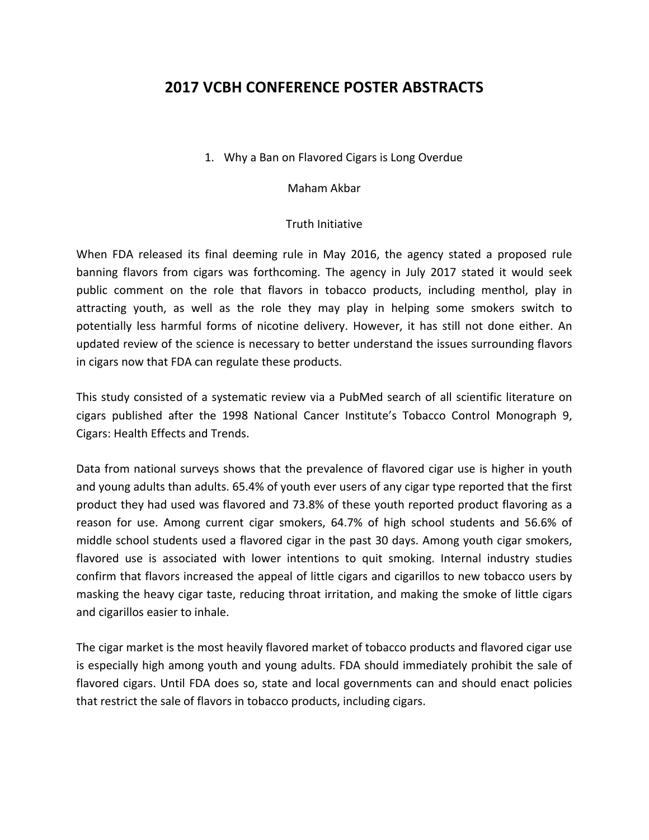# **2017 VCBH CONFERENCE POSTER ABSTRACTS**

1. Why a Ban on Flavored Cigars is Long Overdue

Maham Akbar

#### Truth Initiative

When FDA released its final deeming rule in May 2016, the agency stated a proposed rule banning flavors from cigars was forthcoming. The agency in July 2017 stated it would seek public comment on the role that flavors in tobacco products, including menthol, play in attracting youth, as well as the role they may play in helping some smokers switch to potentially less harmful forms of nicotine delivery. However, it has still not done either. An updated review of the science is necessary to better understand the issues surrounding flavors in cigars now that FDA can regulate these products.

This study consisted of a systematic review via a PubMed search of all scientific literature on cigars published after the 1998 National Cancer Institute's Tobacco Control Monograph 9, Cigars: Health Effects and Trends.

Data from national surveys shows that the prevalence of flavored cigar use is higher in youth and young adults than adults. 65.4% of youth ever users of any cigar type reported that the first product they had used was flavored and 73.8% of these youth reported product flavoring as a reason for use. Among current cigar smokers, 64.7% of high school students and 56.6% of middle school students used a flavored cigar in the past 30 days. Among youth cigar smokers, flavored use is associated with lower intentions to quit smoking. Internal industry studies confirm that flavors increased the appeal of little cigars and cigarillos to new tobacco users by masking the heavy cigar taste, reducing throat irritation, and making the smoke of little cigars and cigarillos easier to inhale.

The cigar market is the most heavily flavored market of tobacco products and flavored cigar use is especially high among youth and young adults. FDA should immediately prohibit the sale of flavored cigars. Until FDA does so, state and local governments can and should enact policies that restrict the sale of flavors in tobacco products, including cigars.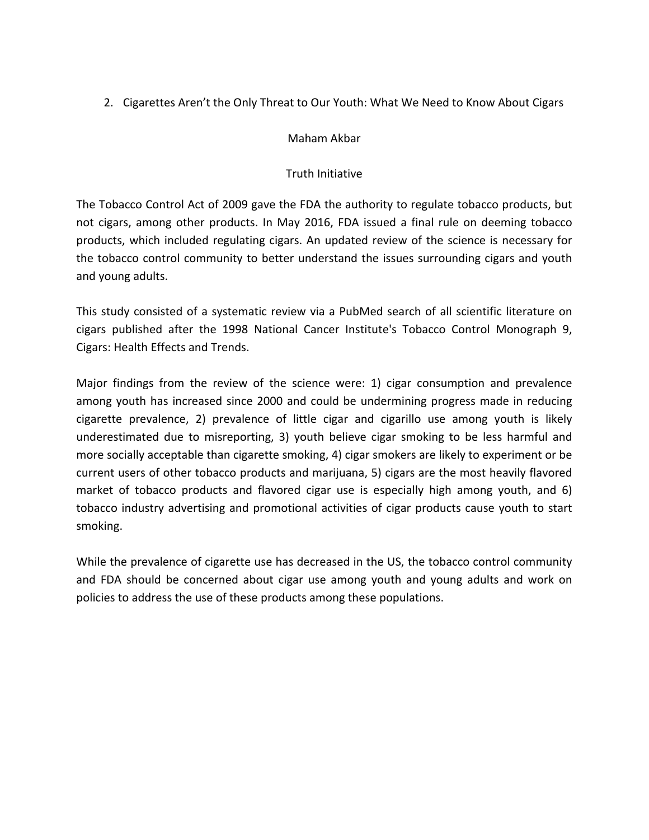2. Cigarettes Aren't the Only Threat to Our Youth: What We Need to Know About Cigars

#### Maham Akbar

#### Truth Initiative

The Tobacco Control Act of 2009 gave the FDA the authority to regulate tobacco products, but not cigars, among other products. In May 2016, FDA issued a final rule on deeming tobacco products, which included regulating cigars. An updated review of the science is necessary for the tobacco control community to better understand the issues surrounding cigars and youth and young adults.

This study consisted of a systematic review via a PubMed search of all scientific literature on cigars published after the 1998 National Cancer Institute's Tobacco Control Monograph 9, Cigars: Health Effects and Trends.

Major findings from the review of the science were: 1) cigar consumption and prevalence among youth has increased since 2000 and could be undermining progress made in reducing cigarette prevalence, 2) prevalence of little cigar and cigarillo use among youth is likely underestimated due to misreporting, 3) youth believe cigar smoking to be less harmful and more socially acceptable than cigarette smoking, 4) cigar smokers are likely to experiment or be current users of other tobacco products and marijuana, 5) cigars are the most heavily flavored market of tobacco products and flavored cigar use is especially high among youth, and 6) tobacco industry advertising and promotional activities of cigar products cause youth to start smoking.

While the prevalence of cigarette use has decreased in the US, the tobacco control community and FDA should be concerned about cigar use among youth and young adults and work on policies to address the use of these products among these populations.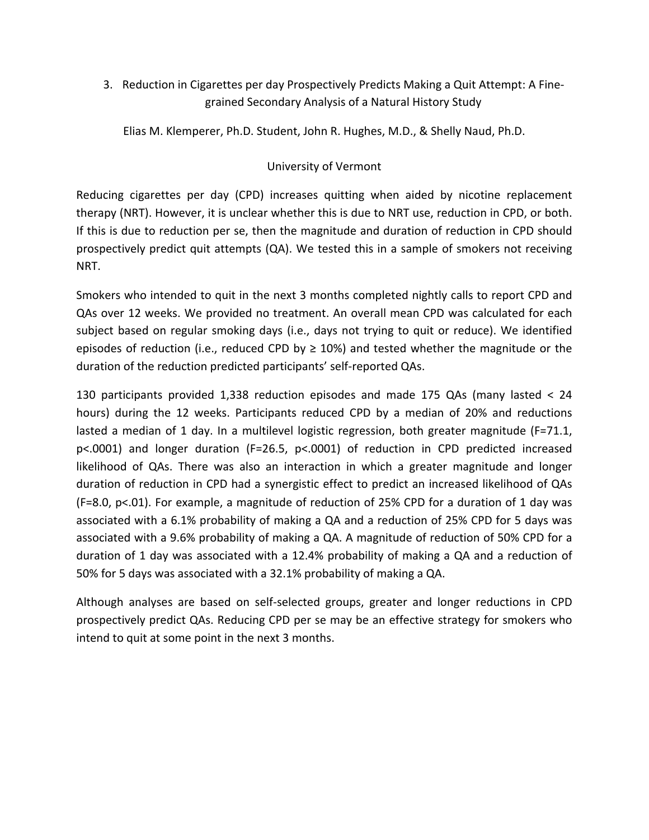3. Reduction in Cigarettes per day Prospectively Predicts Making a Quit Attempt: A Finegrained Secondary Analysis of a Natural History Study

Elias M. Klemperer, Ph.D. Student, John R. Hughes, M.D., & Shelly Naud, Ph.D.

#### University of Vermont

Reducing cigarettes per day (CPD) increases quitting when aided by nicotine replacement therapy (NRT). However, it is unclear whether this is due to NRT use, reduction in CPD, or both. If this is due to reduction per se, then the magnitude and duration of reduction in CPD should prospectively predict quit attempts (QA). We tested this in a sample of smokers not receiving NRT.

Smokers who intended to quit in the next 3 months completed nightly calls to report CPD and QAs over 12 weeks. We provided no treatment. An overall mean CPD was calculated for each subject based on regular smoking days (i.e., days not trying to quit or reduce). We identified episodes of reduction (i.e., reduced CPD by  $\geq$  10%) and tested whether the magnitude or the duration of the reduction predicted participants' self-reported QAs.

130 participants provided 1,338 reduction episodes and made 175 QAs (many lasted < 24 hours) during the 12 weeks. Participants reduced CPD by a median of 20% and reductions lasted a median of 1 day. In a multilevel logistic regression, both greater magnitude (F=71.1, p<.0001) and longer duration (F=26.5, p<.0001) of reduction in CPD predicted increased likelihood of QAs. There was also an interaction in which a greater magnitude and longer duration of reduction in CPD had a synergistic effect to predict an increased likelihood of QAs (F=8.0,  $p$ <.01). For example, a magnitude of reduction of 25% CPD for a duration of 1 day was associated with a 6.1% probability of making a QA and a reduction of 25% CPD for 5 days was associated with a 9.6% probability of making a QA. A magnitude of reduction of 50% CPD for a duration of 1 day was associated with a 12.4% probability of making a QA and a reduction of 50% for 5 days was associated with a 32.1% probability of making a QA.

Although analyses are based on self-selected groups, greater and longer reductions in CPD prospectively predict QAs. Reducing CPD per se may be an effective strategy for smokers who intend to quit at some point in the next 3 months.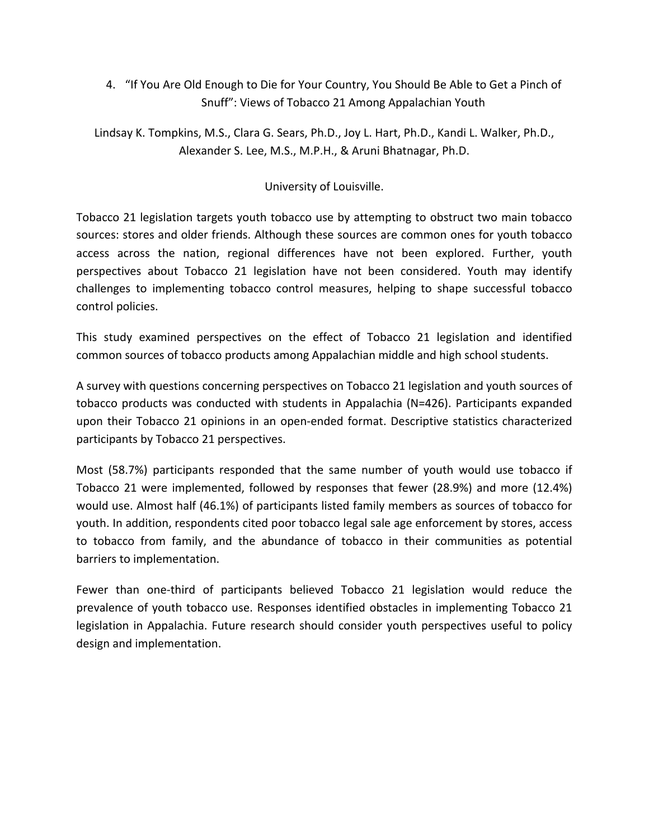4. "If You Are Old Enough to Die for Your Country, You Should Be Able to Get a Pinch of Snuff": Views of Tobacco 21 Among Appalachian Youth

Lindsay K. Tompkins, M.S., Clara G. Sears, Ph.D., Joy L. Hart, Ph.D., Kandi L. Walker, Ph.D., Alexander S. Lee, M.S., M.P.H., & Aruni Bhatnagar, Ph.D.

#### University of Louisville.

Tobacco 21 legislation targets youth tobacco use by attempting to obstruct two main tobacco sources: stores and older friends. Although these sources are common ones for youth tobacco access across the nation, regional differences have not been explored. Further, youth perspectives about Tobacco 21 legislation have not been considered. Youth may identify challenges to implementing tobacco control measures, helping to shape successful tobacco control policies.

This study examined perspectives on the effect of Tobacco 21 legislation and identified common sources of tobacco products among Appalachian middle and high school students.

A survey with questions concerning perspectives on Tobacco 21 legislation and youth sources of tobacco products was conducted with students in Appalachia (N=426). Participants expanded upon their Tobacco 21 opinions in an open-ended format. Descriptive statistics characterized participants by Tobacco 21 perspectives.

Most (58.7%) participants responded that the same number of youth would use tobacco if Tobacco 21 were implemented, followed by responses that fewer (28.9%) and more (12.4%) would use. Almost half (46.1%) of participants listed family members as sources of tobacco for youth. In addition, respondents cited poor tobacco legal sale age enforcement by stores, access to tobacco from family, and the abundance of tobacco in their communities as potential barriers to implementation.

Fewer than one-third of participants believed Tobacco 21 legislation would reduce the prevalence of youth tobacco use. Responses identified obstacles in implementing Tobacco 21 legislation in Appalachia. Future research should consider youth perspectives useful to policy design and implementation.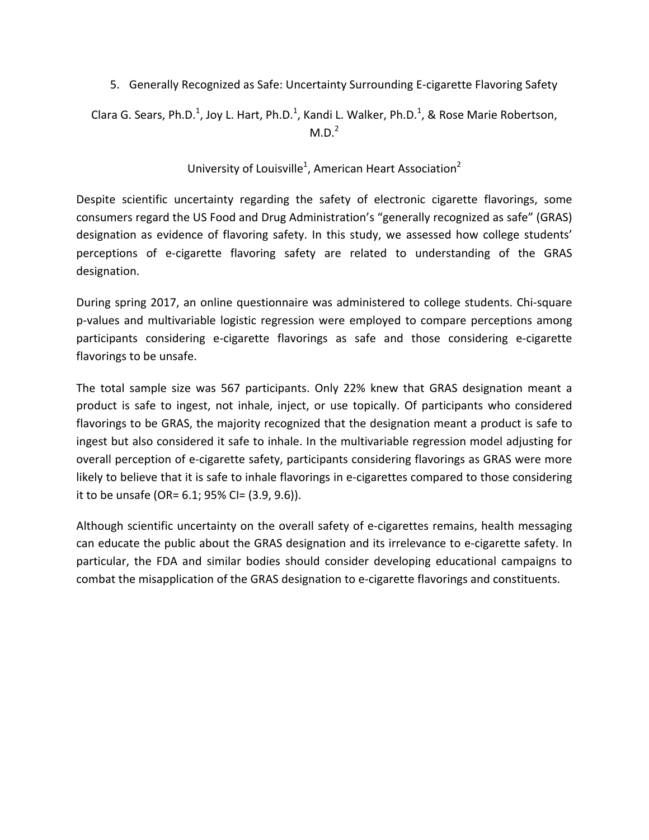5. Generally Recognized as Safe: Uncertainty Surrounding E-cigarette Flavoring Safety

Clara G. Sears, Ph.D.<sup>1</sup>, Joy L. Hart, Ph.D.<sup>1</sup>, Kandi L. Walker, Ph.D.<sup>1</sup>, & Rose Marie Robertson,  $M.D.<sup>2</sup>$ 

University of Louisville<sup>1</sup>, American Heart Association<sup>2</sup>

Despite scientific uncertainty regarding the safety of electronic cigarette flavorings, some consumers regard the US Food and Drug Administration's "generally recognized as safe" (GRAS) designation as evidence of flavoring safety. In this study, we assessed how college students' perceptions of e-cigarette flavoring safety are related to understanding of the GRAS designation.

During spring 2017, an online questionnaire was administered to college students. Chi-square p-values and multivariable logistic regression were employed to compare perceptions among participants considering e-cigarette flavorings as safe and those considering e-cigarette flavorings to be unsafe.

The total sample size was 567 participants. Only 22% knew that GRAS designation meant a product is safe to ingest, not inhale, inject, or use topically. Of participants who considered flavorings to be GRAS, the majority recognized that the designation meant a product is safe to ingest but also considered it safe to inhale. In the multivariable regression model adjusting for overall perception of e-cigarette safety, participants considering flavorings as GRAS were more likely to believe that it is safe to inhale flavorings in e-cigarettes compared to those considering it to be unsafe (OR=  $6.1$ ;  $95\%$  CI=  $(3.9, 9.6)$ ).

Although scientific uncertainty on the overall safety of e-cigarettes remains, health messaging can educate the public about the GRAS designation and its irrelevance to e-cigarette safety. In particular, the FDA and similar bodies should consider developing educational campaigns to combat the misapplication of the GRAS designation to e-cigarette flavorings and constituents.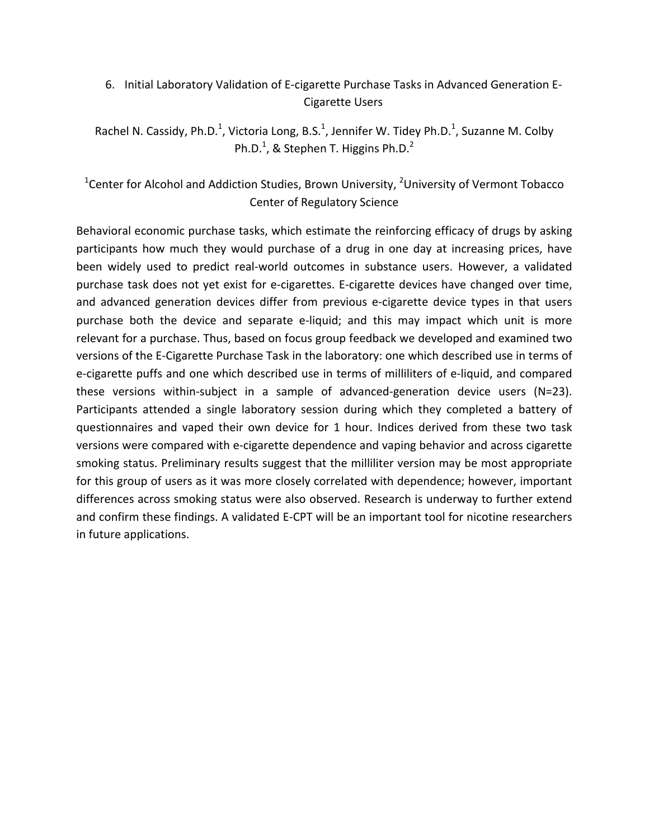# 6. Initial Laboratory Validation of E-cigarette Purchase Tasks in Advanced Generation E-Cigarette Users

Rachel N. Cassidy, Ph.D.<sup>1</sup>, Victoria Long, B.S.<sup>1</sup>, Jennifer W. Tidey Ph.D.<sup>1</sup>, Suzanne M. Colby Ph.D.<sup>1</sup>, & Stephen T. Higgins Ph.D.<sup>2</sup>

# <sup>1</sup>Center for Alcohol and Addiction Studies, Brown University, <sup>2</sup>University of Vermont Tobacco Center of Regulatory Science

Behavioral economic purchase tasks, which estimate the reinforcing efficacy of drugs by asking participants how much they would purchase of a drug in one day at increasing prices, have been widely used to predict real-world outcomes in substance users. However, a validated purchase task does not yet exist for e-cigarettes. E-cigarette devices have changed over time, and advanced generation devices differ from previous e-cigarette device types in that users purchase both the device and separate e-liquid; and this may impact which unit is more relevant for a purchase. Thus, based on focus group feedback we developed and examined two versions of the E-Cigarette Purchase Task in the laboratory: one which described use in terms of e-cigarette puffs and one which described use in terms of milliliters of e-liquid, and compared these versions within-subject in a sample of advanced-generation device users  $(N=23)$ . Participants attended a single laboratory session during which they completed a battery of questionnaires and vaped their own device for 1 hour. Indices derived from these two task versions were compared with e-cigarette dependence and vaping behavior and across cigarette smoking status. Preliminary results suggest that the milliliter version may be most appropriate for this group of users as it was more closely correlated with dependence; however, important differences across smoking status were also observed. Research is underway to further extend and confirm these findings. A validated E-CPT will be an important tool for nicotine researchers in future applications.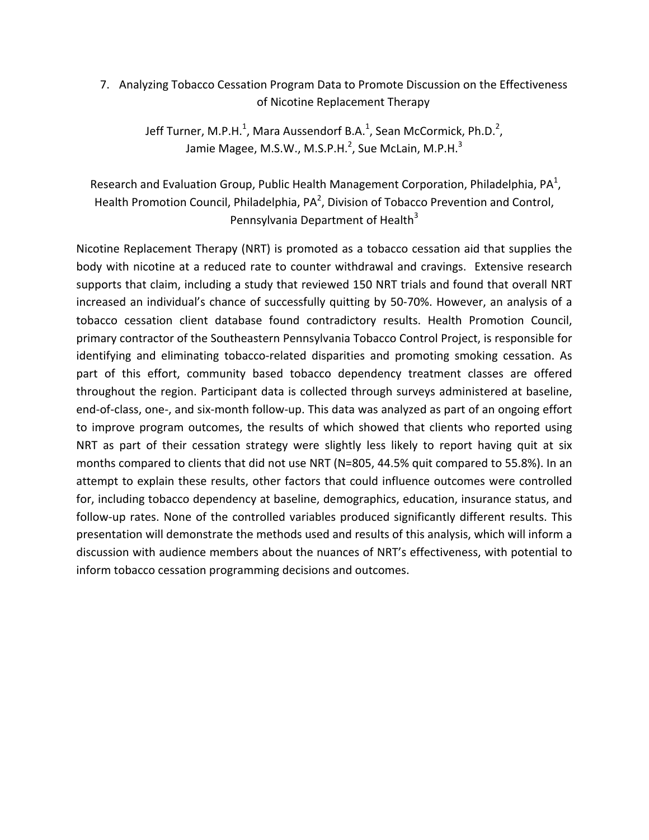7. Analyzing Tobacco Cessation Program Data to Promote Discussion on the Effectiveness of Nicotine Replacement Therapy

> Jeff Turner, M.P.H.<sup>1</sup>, Mara Aussendorf B.A.<sup>1</sup>, Sean McCormick, Ph.D.<sup>2</sup>, Jamie Magee, M.S.W., M.S.P.H.<sup>2</sup>, Sue McLain, M.P.H.<sup>3</sup>

Research and Evaluation Group, Public Health Management Corporation, Philadelphia, PA<sup>1</sup>, Health Promotion Council, Philadelphia, PA<sup>2</sup>, Division of Tobacco Prevention and Control, Pennsylvania Department of Health<sup>3</sup>

Nicotine Replacement Therapy (NRT) is promoted as a tobacco cessation aid that supplies the body with nicotine at a reduced rate to counter withdrawal and cravings. Extensive research supports that claim, including a study that reviewed 150 NRT trials and found that overall NRT increased an individual's chance of successfully quitting by 50-70%. However, an analysis of a tobacco cessation client database found contradictory results. Health Promotion Council, primary contractor of the Southeastern Pennsylvania Tobacco Control Project, is responsible for identifying and eliminating tobacco-related disparities and promoting smoking cessation. As part of this effort, community based tobacco dependency treatment classes are offered throughout the region. Participant data is collected through surveys administered at baseline, end-of-class, one-, and six-month follow-up. This data was analyzed as part of an ongoing effort to improve program outcomes, the results of which showed that clients who reported using NRT as part of their cessation strategy were slightly less likely to report having quit at six months compared to clients that did not use NRT (N=805, 44.5% quit compared to 55.8%). In an attempt to explain these results, other factors that could influence outcomes were controlled for, including tobacco dependency at baseline, demographics, education, insurance status, and follow-up rates. None of the controlled variables produced significantly different results. This presentation will demonstrate the methods used and results of this analysis, which will inform a discussion with audience members about the nuances of NRT's effectiveness, with potential to inform tobacco cessation programming decisions and outcomes.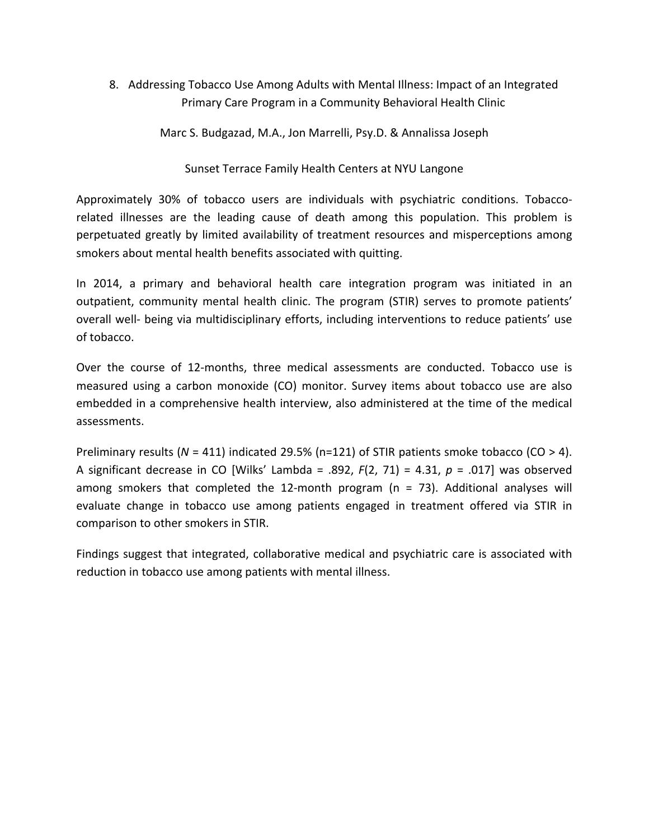8. Addressing Tobacco Use Among Adults with Mental Illness: Impact of an Integrated Primary Care Program in a Community Behavioral Health Clinic

Marc S. Budgazad, M.A., Jon Marrelli, Psy.D. & Annalissa Joseph

Sunset Terrace Family Health Centers at NYU Langone

Approximately 30% of tobacco users are individuals with psychiatric conditions. Tobaccorelated illnesses are the leading cause of death among this population. This problem is perpetuated greatly by limited availability of treatment resources and misperceptions among smokers about mental health benefits associated with quitting.

In 2014, a primary and behavioral health care integration program was initiated in an outpatient, community mental health clinic. The program (STIR) serves to promote patients' overall well- being via multidisciplinary efforts, including interventions to reduce patients' use of tobacco.

Over the course of 12-months, three medical assessments are conducted. Tobacco use is measured using a carbon monoxide (CO) monitor. Survey items about tobacco use are also embedded in a comprehensive health interview, also administered at the time of the medical assessments. 

Preliminary results  $(N = 411)$  indicated 29.5% (n=121) of STIR patients smoke tobacco  $(CO > 4)$ . A significant decrease in CO [Wilks' Lambda = .892,  $F(2, 71) = 4.31$ ,  $p = .017$ ] was observed among smokers that completed the 12-month program ( $n = 73$ ). Additional analyses will evaluate change in tobacco use among patients engaged in treatment offered via STIR in comparison to other smokers in STIR.

Findings suggest that integrated, collaborative medical and psychiatric care is associated with reduction in tobacco use among patients with mental illness.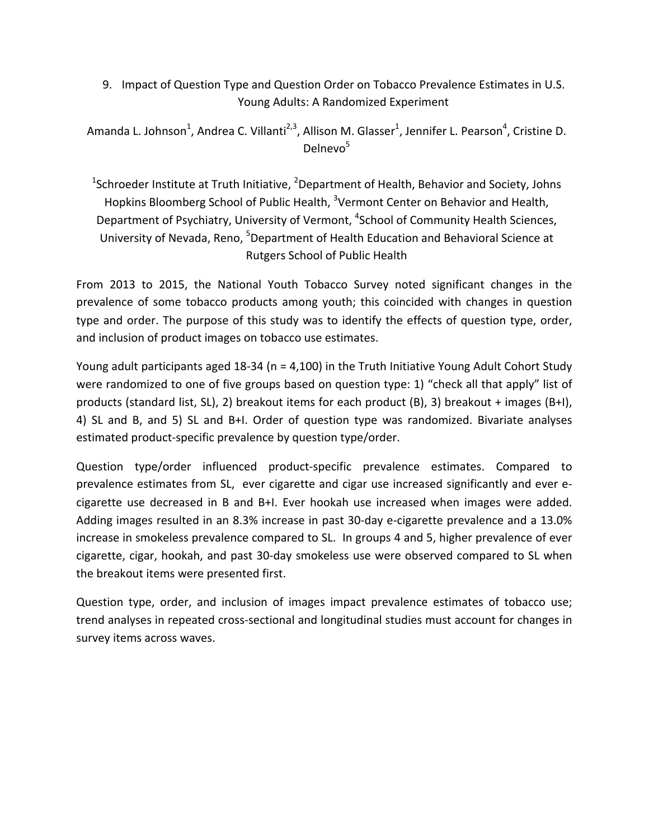9. Impact of Question Type and Question Order on Tobacco Prevalence Estimates in U.S. Young Adults: A Randomized Experiment

Amanda L. Johnson<sup>1</sup>, Andrea C. Villanti<sup>2,3</sup>, Allison M. Glasser<sup>1</sup>, Jennifer L. Pearson<sup>4</sup>, Cristine D. Delnevo<sup>5</sup>

<sup>1</sup>Schroeder Institute at Truth Initiative, <sup>2</sup>Department of Health, Behavior and Society, Johns Hopkins Bloomberg School of Public Health, <sup>3</sup>Vermont Center on Behavior and Health, Department of Psychiatry, University of Vermont, <sup>4</sup>School of Community Health Sciences, University of Nevada, Reno, <sup>5</sup>Department of Health Education and Behavioral Science at Rutgers School of Public Health

From 2013 to 2015, the National Youth Tobacco Survey noted significant changes in the prevalence of some tobacco products among youth; this coincided with changes in question type and order. The purpose of this study was to identify the effects of question type, order, and inclusion of product images on tobacco use estimates.

Young adult participants aged  $18-34$  (n = 4,100) in the Truth Initiative Young Adult Cohort Study were randomized to one of five groups based on question type: 1) "check all that apply" list of products (standard list, SL), 2) breakout items for each product (B), 3) breakout + images (B+I), 4) SL and B, and 5) SL and B+I. Order of question type was randomized. Bivariate analyses estimated product-specific prevalence by question type/order.

Question type/order influenced product-specific prevalence estimates. Compared to prevalence estimates from SL, ever cigarette and cigar use increased significantly and ever ecigarette use decreased in B and B+I. Ever hookah use increased when images were added. Adding images resulted in an 8.3% increase in past 30-day e-cigarette prevalence and a 13.0% increase in smokeless prevalence compared to SL. In groups 4 and 5, higher prevalence of ever cigarette, cigar, hookah, and past 30-day smokeless use were observed compared to SL when the breakout items were presented first.

Question type, order, and inclusion of images impact prevalence estimates of tobacco use; trend analyses in repeated cross-sectional and longitudinal studies must account for changes in survey items across waves.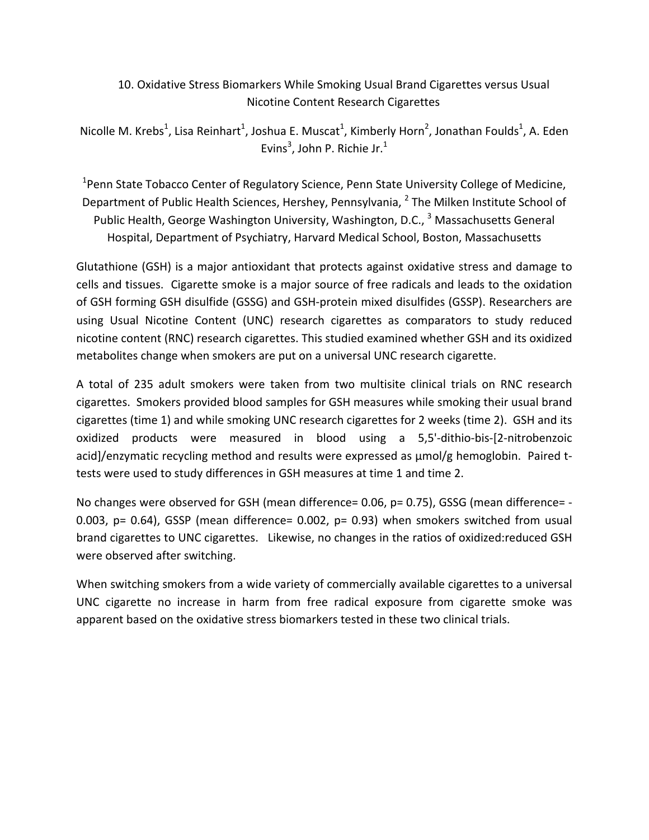## 10. Oxidative Stress Biomarkers While Smoking Usual Brand Cigarettes versus Usual Nicotine Content Research Cigarettes

Nicolle M. Krebs<sup>1</sup>, Lisa Reinhart<sup>1</sup>, Joshua E. Muscat<sup>1</sup>, Kimberly Horn<sup>2</sup>, Jonathan Foulds<sup>1</sup>, A. Eden Evins<sup>3</sup>, John P. Richie Jr.<sup>1</sup>

<sup>1</sup>Penn State Tobacco Center of Regulatory Science, Penn State University College of Medicine, Department of Public Health Sciences, Hershey, Pennsylvania, <sup>2</sup> The Milken Institute School of Public Health, George Washington University, Washington, D.C., <sup>3</sup> Massachusetts General Hospital, Department of Psychiatry, Harvard Medical School, Boston, Massachusetts

Glutathione (GSH) is a major antioxidant that protects against oxidative stress and damage to cells and tissues. Cigarette smoke is a major source of free radicals and leads to the oxidation of GSH forming GSH disulfide (GSSG) and GSH-protein mixed disulfides (GSSP). Researchers are using Usual Nicotine Content (UNC) research cigarettes as comparators to study reduced nicotine content (RNC) research cigarettes. This studied examined whether GSH and its oxidized metabolites change when smokers are put on a universal UNC research cigarette.

A total of 235 adult smokers were taken from two multisite clinical trials on RNC research cigarettes. Smokers provided blood samples for GSH measures while smoking their usual brand cigarettes (time 1) and while smoking UNC research cigarettes for 2 weeks (time 2). GSH and its oxidized products were measured in blood using a 5,5'-dithio-bis-[2-nitrobenzoic acid]/enzymatic recycling method and results were expressed as  $\mu$ mol/g hemoglobin. Paired ttests were used to study differences in GSH measures at time 1 and time 2.

No changes were observed for GSH (mean difference=  $0.06$ ,  $p = 0.75$ ), GSSG (mean difference=  $-$ 0.003,  $p = 0.64$ ), GSSP (mean difference= 0.002,  $p = 0.93$ ) when smokers switched from usual brand cigarettes to UNC cigarettes. Likewise, no changes in the ratios of oxidized:reduced GSH were observed after switching.

When switching smokers from a wide variety of commercially available cigarettes to a universal UNC cigarette no increase in harm from free radical exposure from cigarette smoke was apparent based on the oxidative stress biomarkers tested in these two clinical trials.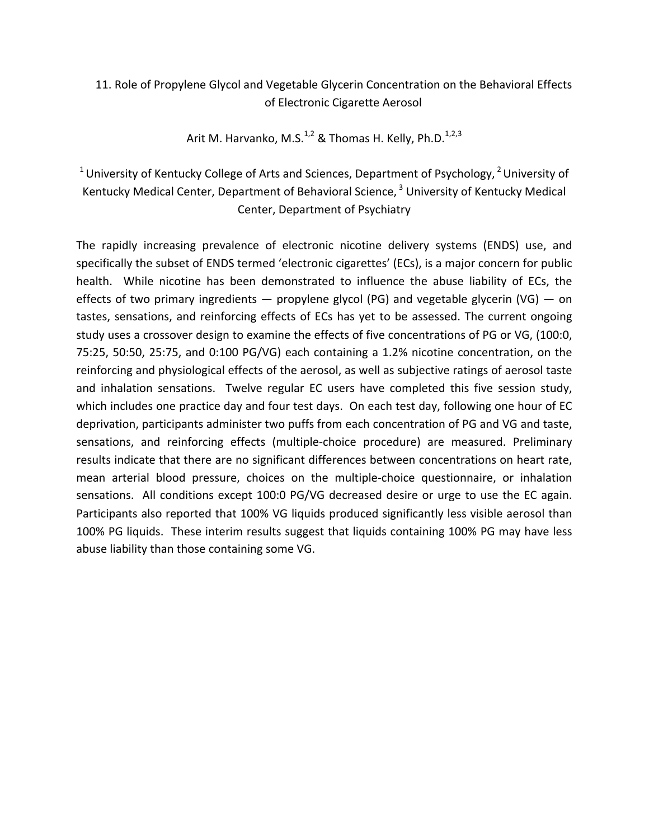# 11. Role of Propylene Glycol and Vegetable Glycerin Concentration on the Behavioral Effects of Electronic Cigarette Aerosol

Arit M. Harvanko, M.S.<sup>1,2</sup> & Thomas H. Kelly, Ph.D.<sup>1,2,3</sup>

<sup>1</sup> University of Kentucky College of Arts and Sciences, Department of Psychology, <sup>2</sup> University of Kentucky Medical Center, Department of Behavioral Science,<sup>3</sup> University of Kentucky Medical Center, Department of Psychiatry

The rapidly increasing prevalence of electronic nicotine delivery systems (ENDS) use, and specifically the subset of ENDS termed 'electronic cigarettes' (ECs), is a major concern for public health. While nicotine has been demonstrated to influence the abuse liability of ECs, the effects of two primary ingredients — propylene glycol (PG) and vegetable glycerin (VG) — on tastes, sensations, and reinforcing effects of ECs has yet to be assessed. The current ongoing study uses a crossover design to examine the effects of five concentrations of PG or VG, (100:0, 75:25, 50:50, 25:75, and 0:100 PG/VG) each containing a 1.2% nicotine concentration, on the reinforcing and physiological effects of the aerosol, as well as subjective ratings of aerosol taste and inhalation sensations. Twelve regular EC users have completed this five session study, which includes one practice day and four test days. On each test day, following one hour of EC deprivation, participants administer two puffs from each concentration of PG and VG and taste, sensations, and reinforcing effects (multiple-choice procedure) are measured. Preliminary results indicate that there are no significant differences between concentrations on heart rate, mean arterial blood pressure, choices on the multiple-choice questionnaire, or inhalation sensations. All conditions except 100:0 PG/VG decreased desire or urge to use the EC again. Participants also reported that 100% VG liquids produced significantly less visible aerosol than 100% PG liquids. These interim results suggest that liquids containing 100% PG may have less abuse liability than those containing some VG.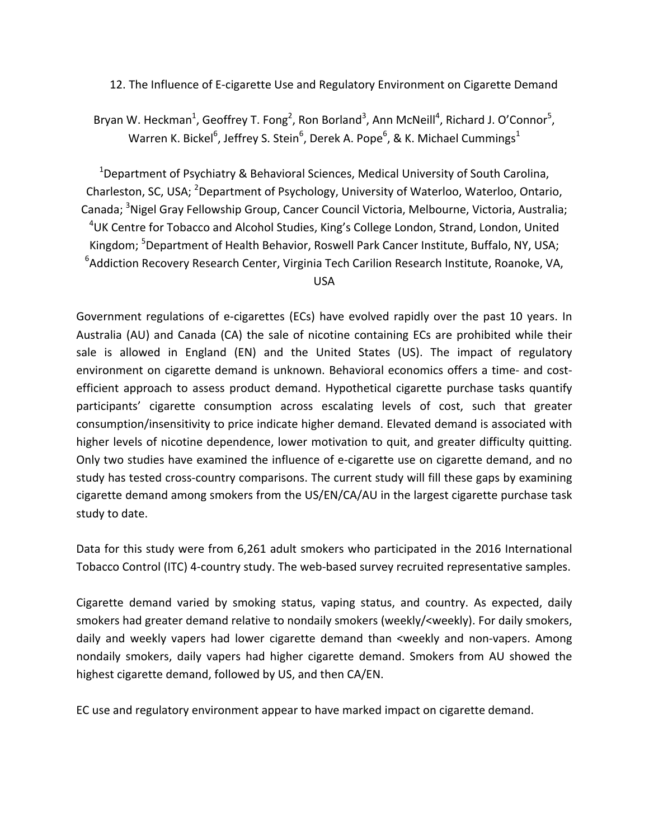12. The Influence of E-cigarette Use and Regulatory Environment on Cigarette Demand

Bryan W. Heckman<sup>1</sup>, Geoffrey T. Fong<sup>2</sup>, Ron Borland<sup>3</sup>, Ann McNeill<sup>4</sup>, Richard J. O'Connor<sup>5</sup>, Warren K. Bickel<sup>6</sup>, Jeffrey S. Stein<sup>6</sup>, Derek A. Pope<sup>6</sup>, & K. Michael Cummings<sup>1</sup>

 $1$ Department of Psychiatry & Behavioral Sciences, Medical University of South Carolina, Charleston, SC, USA; <sup>2</sup>Department of Psychology, University of Waterloo, Waterloo, Ontario, Canada; <sup>3</sup>Nigel Gray Fellowship Group, Cancer Council Victoria, Melbourne, Victoria, Australia;  $4$ UK Centre for Tobacco and Alcohol Studies, King's College London, Strand, London, United Kingdom; <sup>5</sup>Department of Health Behavior, Roswell Park Cancer Institute, Buffalo, NY, USA;  ${}^{6}$ Addiction Recovery Research Center, Virginia Tech Carilion Research Institute, Roanoke, VA,

USA

Government regulations of e-cigarettes (ECs) have evolved rapidly over the past 10 years. In Australia (AU) and Canada (CA) the sale of nicotine containing ECs are prohibited while their sale is allowed in England (EN) and the United States (US). The impact of regulatory environment on cigarette demand is unknown. Behavioral economics offers a time- and costefficient approach to assess product demand. Hypothetical cigarette purchase tasks quantify participants' cigarette consumption across escalating levels of cost, such that greater consumption/insensitivity to price indicate higher demand. Elevated demand is associated with higher levels of nicotine dependence, lower motivation to quit, and greater difficulty quitting. Only two studies have examined the influence of e-cigarette use on cigarette demand, and no study has tested cross-country comparisons. The current study will fill these gaps by examining cigarette demand among smokers from the US/EN/CA/AU in the largest cigarette purchase task study to date.

Data for this study were from 6,261 adult smokers who participated in the 2016 International Tobacco Control (ITC) 4-country study. The web-based survey recruited representative samples.

Cigarette demand varied by smoking status, vaping status, and country. As expected, daily smokers had greater demand relative to nondaily smokers (weekly/<weekly). For daily smokers, daily and weekly vapers had lower cigarette demand than <weekly and non-vapers. Among nondaily smokers, daily vapers had higher cigarette demand. Smokers from AU showed the highest cigarette demand, followed by US, and then CA/EN.

EC use and regulatory environment appear to have marked impact on cigarette demand.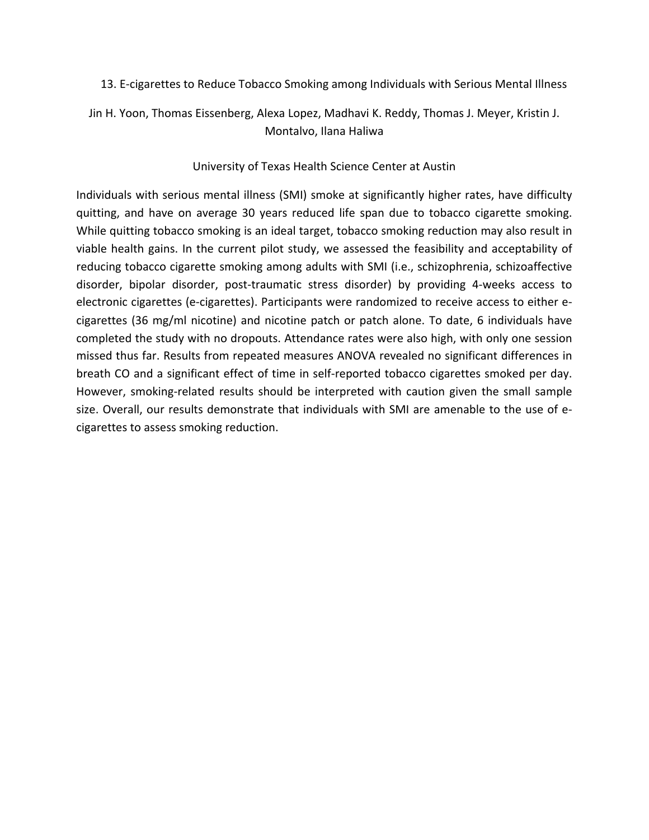13. E-cigarettes to Reduce Tobacco Smoking among Individuals with Serious Mental Illness

Jin H. Yoon, Thomas Eissenberg, Alexa Lopez, Madhavi K. Reddy, Thomas J. Meyer, Kristin J. Montalvo, Ilana Haliwa

#### University of Texas Health Science Center at Austin

Individuals with serious mental illness (SMI) smoke at significantly higher rates, have difficulty quitting, and have on average 30 years reduced life span due to tobacco cigarette smoking. While quitting tobacco smoking is an ideal target, tobacco smoking reduction may also result in viable health gains. In the current pilot study, we assessed the feasibility and acceptability of reducing tobacco cigarette smoking among adults with SMI (i.e., schizophrenia, schizoaffective disorder, bipolar disorder, post-traumatic stress disorder) by providing 4-weeks access to electronic cigarettes (e-cigarettes). Participants were randomized to receive access to either ecigarettes (36 mg/ml nicotine) and nicotine patch or patch alone. To date, 6 individuals have completed the study with no dropouts. Attendance rates were also high, with only one session missed thus far. Results from repeated measures ANOVA revealed no significant differences in breath CO and a significant effect of time in self-reported tobacco cigarettes smoked per day. However, smoking-related results should be interpreted with caution given the small sample size. Overall, our results demonstrate that individuals with SMI are amenable to the use of ecigarettes to assess smoking reduction.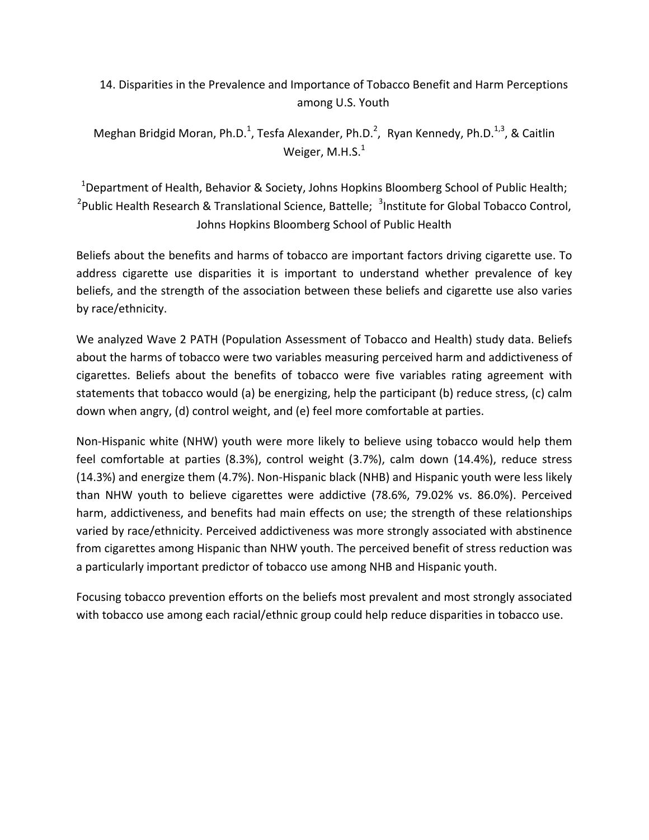14. Disparities in the Prevalence and Importance of Tobacco Benefit and Harm Perceptions among U.S. Youth

Meghan Bridgid Moran, Ph.D.<sup>1</sup>, Tesfa Alexander, Ph.D.<sup>2</sup>, Ryan Kennedy, Ph.D.<sup>1,3</sup>, & Caitlin Weiger, M.H.S. $^1$ 

<sup>1</sup>Department of Health, Behavior & Society, Johns Hopkins Bloomberg School of Public Health; <sup>2</sup>Public Health Research & Translational Science, Battelle;  $\frac{3}{1}$ Institute for Global Tobacco Control, Johns Hopkins Bloomberg School of Public Health

Beliefs about the benefits and harms of tobacco are important factors driving cigarette use. To address cigarette use disparities it is important to understand whether prevalence of key beliefs, and the strength of the association between these beliefs and cigarette use also varies by race/ethnicity.

We analyzed Wave 2 PATH (Population Assessment of Tobacco and Health) study data. Beliefs about the harms of tobacco were two variables measuring perceived harm and addictiveness of cigarettes. Beliefs about the benefits of tobacco were five variables rating agreement with statements that tobacco would (a) be energizing, help the participant (b) reduce stress, (c) calm down when angry, (d) control weight, and (e) feel more comfortable at parties.

Non-Hispanic white (NHW) youth were more likely to believe using tobacco would help them feel comfortable at parties (8.3%), control weight (3.7%), calm down (14.4%), reduce stress (14.3%) and energize them (4.7%). Non-Hispanic black (NHB) and Hispanic youth were less likely than NHW youth to believe cigarettes were addictive (78.6%, 79.02% vs. 86.0%). Perceived harm, addictiveness, and benefits had main effects on use; the strength of these relationships varied by race/ethnicity. Perceived addictiveness was more strongly associated with abstinence from cigarettes among Hispanic than NHW youth. The perceived benefit of stress reduction was a particularly important predictor of tobacco use among NHB and Hispanic youth.

Focusing tobacco prevention efforts on the beliefs most prevalent and most strongly associated with tobacco use among each racial/ethnic group could help reduce disparities in tobacco use.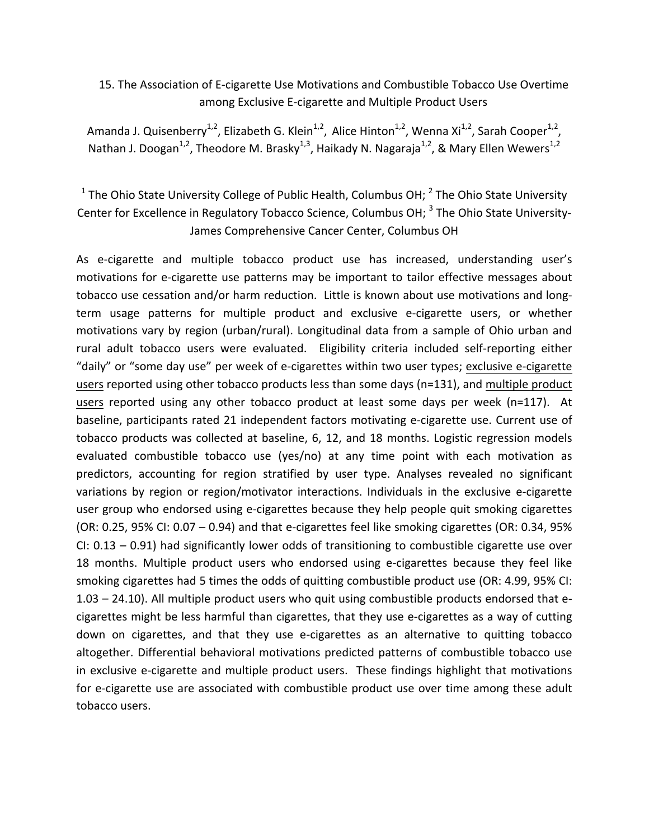### 15. The Association of E-cigarette Use Motivations and Combustible Tobacco Use Overtime among Exclusive E-cigarette and Multiple Product Users

Amanda J. Quisenberry<sup>1,2</sup>, Elizabeth G. Klein<sup>1,2</sup>, Alice Hinton<sup>1,2</sup>, Wenna Xi<sup>1,2</sup>, Sarah Cooper<sup>1,2</sup>, Nathan J. Doogan<sup>1,2</sup>, Theodore M. Brasky<sup>1,3</sup>, Haikady N. Nagaraja<sup>1,2</sup>, & Mary Ellen Wewers<sup>1,2</sup>

<sup>1</sup> The Ohio State University College of Public Health, Columbus OH;  $^2$  The Ohio State University Center for Excellence in Regulatory Tobacco Science, Columbus OH; <sup>3</sup> The Ohio State University-James Comprehensive Cancer Center, Columbus OH

As e-cigarette and multiple tobacco product use has increased, understanding user's motivations for e-cigarette use patterns may be important to tailor effective messages about tobacco use cessation and/or harm reduction. Little is known about use motivations and longterm usage patterns for multiple product and exclusive e-cigarette users, or whether motivations vary by region (urban/rural). Longitudinal data from a sample of Ohio urban and rural adult tobacco users were evaluated. Eligibility criteria included self-reporting either "daily" or "some day use" per week of e-cigarettes within two user types; exclusive e-cigarette users reported using other tobacco products less than some days (n=131), and multiple product users reported using any other tobacco product at least some days per week (n=117). At baseline, participants rated 21 independent factors motivating e-cigarette use. Current use of tobacco products was collected at baseline, 6, 12, and 18 months. Logistic regression models evaluated combustible tobacco use (yes/no) at any time point with each motivation as predictors, accounting for region stratified by user type. Analyses revealed no significant variations by region or region/motivator interactions. Individuals in the exclusive e-cigarette user group who endorsed using e-cigarettes because they help people quit smoking cigarettes (OR: 0.25, 95% CI: 0.07 – 0.94) and that e-cigarettes feel like smoking cigarettes (OR: 0.34, 95% CI: 0.13 – 0.91) had significantly lower odds of transitioning to combustible cigarette use over 18 months. Multiple product users who endorsed using e-cigarettes because they feel like smoking cigarettes had 5 times the odds of quitting combustible product use (OR: 4.99, 95% CI: 1.03 – 24.10). All multiple product users who quit using combustible products endorsed that ecigarettes might be less harmful than cigarettes, that they use e-cigarettes as a way of cutting down on cigarettes, and that they use e-cigarettes as an alternative to quitting tobacco altogether. Differential behavioral motivations predicted patterns of combustible tobacco use in exclusive e-cigarette and multiple product users. These findings highlight that motivations for e-cigarette use are associated with combustible product use over time among these adult tobacco users.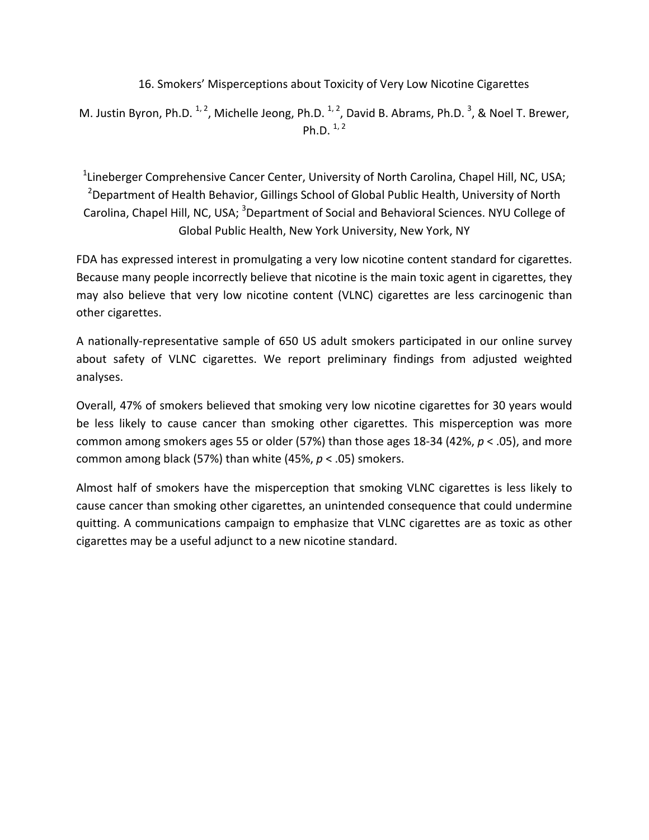16. Smokers' Misperceptions about Toxicity of Very Low Nicotine Cigarettes

M. Justin Byron, Ph.D.  $^{1, 2}$ , Michelle Jeong, Ph.D.  $^{1, 2}$ , David B. Abrams, Ph.D.  $^{3}$ , & Noel T. Brewer, Ph.D.  $^{1,2}$ 

<sup>1</sup> Lineberger Comprehensive Cancer Center, University of North Carolina, Chapel Hill, NC, USA;  $^{2}$ Department of Health Behavior, Gillings School of Global Public Health, University of North Carolina, Chapel Hill, NC, USA; <sup>3</sup>Department of Social and Behavioral Sciences. NYU College of Global Public Health, New York University, New York, NY

FDA has expressed interest in promulgating a very low nicotine content standard for cigarettes. Because many people incorrectly believe that nicotine is the main toxic agent in cigarettes, they may also believe that very low nicotine content (VLNC) cigarettes are less carcinogenic than other cigarettes.

A nationally-representative sample of 650 US adult smokers participated in our online survey about safety of VLNC cigarettes. We report preliminary findings from adjusted weighted analyses.

Overall, 47% of smokers believed that smoking very low nicotine cigarettes for 30 years would be less likely to cause cancer than smoking other cigarettes. This misperception was more common among smokers ages 55 or older (57%) than those ages 18-34 (42%,  $p < .05$ ), and more common among black (57%) than white  $(45%, p < .05)$  smokers.

Almost half of smokers have the misperception that smoking VLNC cigarettes is less likely to cause cancer than smoking other cigarettes, an unintended consequence that could undermine quitting. A communications campaign to emphasize that VLNC cigarettes are as toxic as other cigarettes may be a useful adjunct to a new nicotine standard.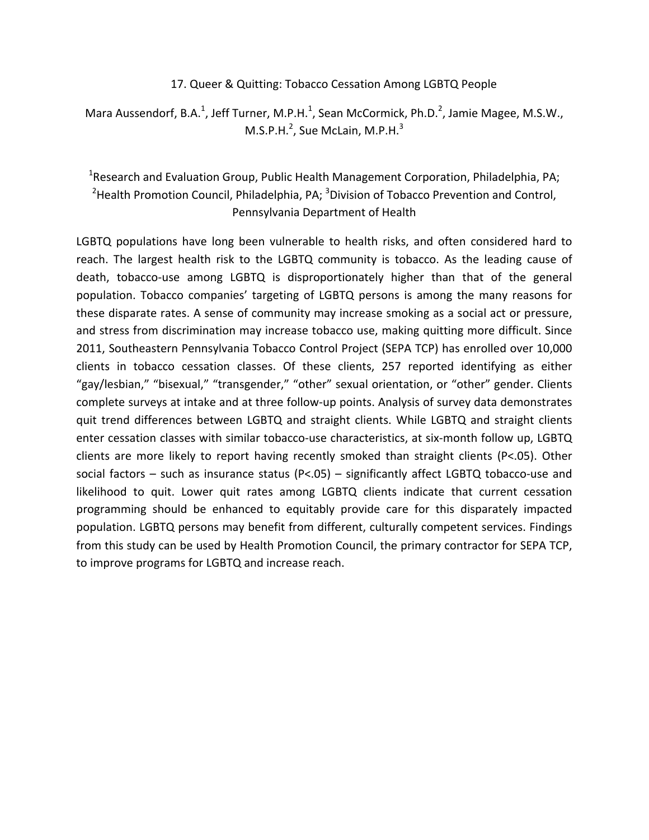#### 17. Queer & Quitting: Tobacco Cessation Among LGBTQ People

Mara Aussendorf, B.A.<sup>1</sup>, Jeff Turner, M.P.H.<sup>1</sup>, Sean McCormick, Ph.D.<sup>2</sup>, Jamie Magee, M.S.W.,  $M.S.P.H.<sup>2</sup>$ , Sue McLain, M.P.H. $<sup>3</sup>$ </sup>

# <sup>1</sup>Research and Evaluation Group, Public Health Management Corporation, Philadelphia, PA;  $2$ Health Promotion Council, Philadelphia, PA;  $3$ Division of Tobacco Prevention and Control, Pennsylvania Department of Health

LGBTQ populations have long been vulnerable to health risks, and often considered hard to reach. The largest health risk to the LGBTQ community is tobacco. As the leading cause of death, tobacco-use among LGBTQ is disproportionately higher than that of the general population. Tobacco companies' targeting of LGBTQ persons is among the many reasons for these disparate rates. A sense of community may increase smoking as a social act or pressure, and stress from discrimination may increase tobacco use, making quitting more difficult. Since 2011, Southeastern Pennsylvania Tobacco Control Project (SEPA TCP) has enrolled over 10,000 clients in tobacco cessation classes. Of these clients, 257 reported identifying as either "gay/lesbian," "bisexual," "transgender," "other" sexual orientation, or "other" gender. Clients complete surveys at intake and at three follow-up points. Analysis of survey data demonstrates quit trend differences between LGBTQ and straight clients. While LGBTQ and straight clients enter cessation classes with similar tobacco-use characteristics, at six-month follow up, LGBTQ clients are more likely to report having recently smoked than straight clients (P<.05). Other social factors – such as insurance status  $(P<.05)$  – significantly affect LGBTQ tobacco-use and likelihood to quit. Lower quit rates among LGBTQ clients indicate that current cessation programming should be enhanced to equitably provide care for this disparately impacted population. LGBTQ persons may benefit from different, culturally competent services. Findings from this study can be used by Health Promotion Council, the primary contractor for SEPA TCP, to improve programs for LGBTQ and increase reach.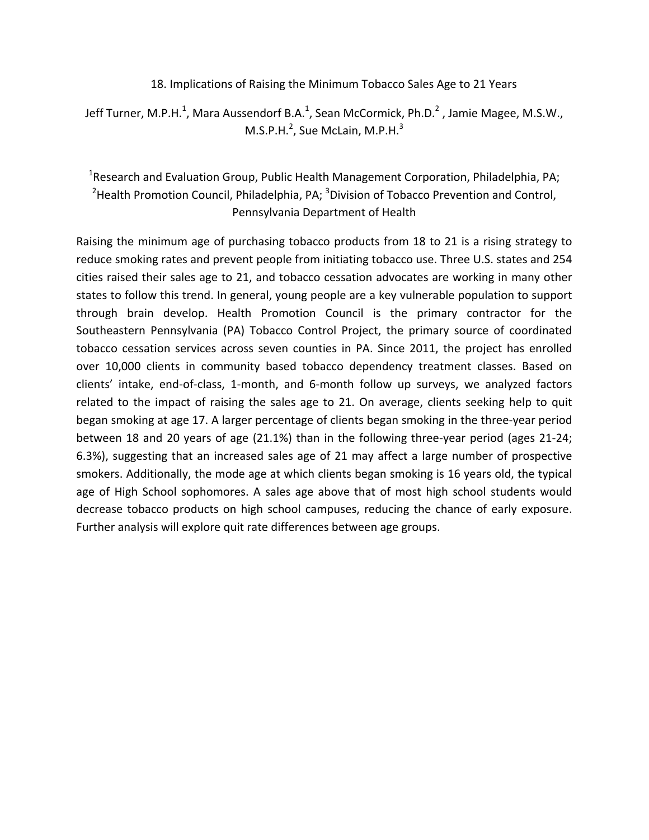18. Implications of Raising the Minimum Tobacco Sales Age to 21 Years

Jeff Turner, M.P.H.<sup>1</sup>, Mara Aussendorf B.A.<sup>1</sup>, Sean McCormick, Ph.D.<sup>2</sup> , Jamie Magee, M.S.W.,  $M.S.P.H.<sup>2</sup>$ , Sue McLain, M.P.H. $<sup>3</sup>$ </sup>

# <sup>1</sup>Research and Evaluation Group, Public Health Management Corporation, Philadelphia, PA;  $2$ Health Promotion Council, Philadelphia, PA;  $3$ Division of Tobacco Prevention and Control, Pennsylvania Department of Health

Raising the minimum age of purchasing tobacco products from 18 to 21 is a rising strategy to reduce smoking rates and prevent people from initiating tobacco use. Three U.S. states and 254 cities raised their sales age to 21, and tobacco cessation advocates are working in many other states to follow this trend. In general, young people are a key vulnerable population to support through brain develop. Health Promotion Council is the primary contractor for the Southeastern Pennsylvania (PA) Tobacco Control Project, the primary source of coordinated tobacco cessation services across seven counties in PA. Since 2011, the project has enrolled over 10,000 clients in community based tobacco dependency treatment classes. Based on clients' intake, end-of-class, 1-month, and 6-month follow up surveys, we analyzed factors related to the impact of raising the sales age to 21. On average, clients seeking help to quit began smoking at age 17. A larger percentage of clients began smoking in the three-year period between 18 and 20 years of age  $(21.1%)$  than in the following three-year period (ages 21-24; 6.3%), suggesting that an increased sales age of 21 may affect a large number of prospective smokers. Additionally, the mode age at which clients began smoking is 16 years old, the typical age of High School sophomores. A sales age above that of most high school students would decrease tobacco products on high school campuses, reducing the chance of early exposure. Further analysis will explore quit rate differences between age groups.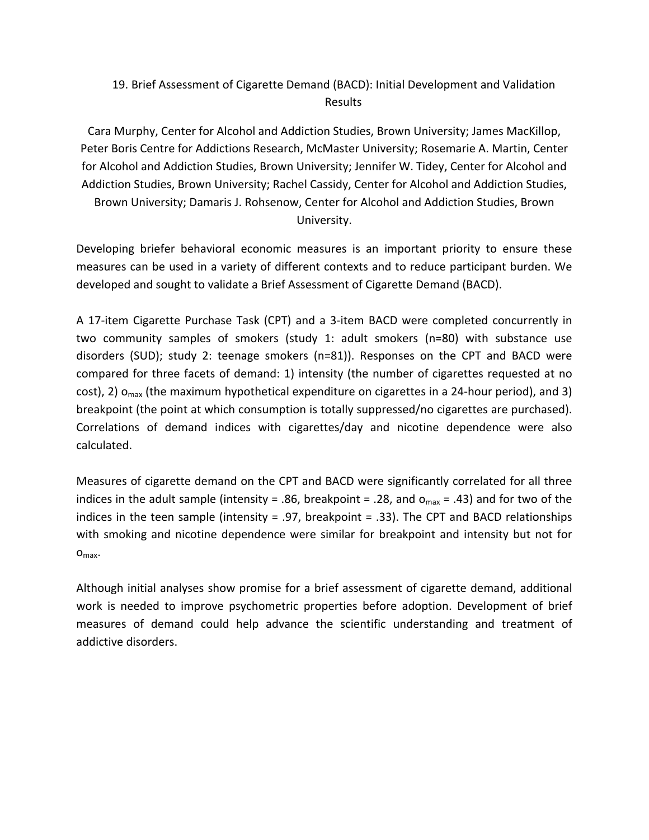# 19. Brief Assessment of Cigarette Demand (BACD): Initial Development and Validation Results

Cara Murphy, Center for Alcohol and Addiction Studies, Brown University; James MacKillop, Peter Boris Centre for Addictions Research, McMaster University; Rosemarie A. Martin, Center for Alcohol and Addiction Studies, Brown University; Jennifer W. Tidey, Center for Alcohol and Addiction Studies, Brown University; Rachel Cassidy, Center for Alcohol and Addiction Studies, Brown University; Damaris J. Rohsenow, Center for Alcohol and Addiction Studies, Brown University.

Developing briefer behavioral economic measures is an important priority to ensure these measures can be used in a variety of different contexts and to reduce participant burden. We developed and sought to validate a Brief Assessment of Cigarette Demand (BACD).

A 17-item Cigarette Purchase Task (CPT) and a 3-item BACD were completed concurrently in two community samples of smokers (study 1: adult smokers (n=80) with substance use disorders (SUD); study 2: teenage smokers  $(n=81)$ ). Responses on the CPT and BACD were compared for three facets of demand: 1) intensity (the number of cigarettes requested at no cost), 2)  $o_{max}$  (the maximum hypothetical expenditure on cigarettes in a 24-hour period), and 3) breakpoint (the point at which consumption is totally suppressed/no cigarettes are purchased). Correlations of demand indices with cigarettes/day and nicotine dependence were also calculated.

Measures of cigarette demand on the CPT and BACD were significantly correlated for all three indices in the adult sample (intensity = .86, breakpoint = .28, and  $o_{\text{max}}$  = .43) and for two of the indices in the teen sample (intensity = .97, breakpoint = .33). The CPT and BACD relationships with smoking and nicotine dependence were similar for breakpoint and intensity but not for O<sub>max</sub>.

Although initial analyses show promise for a brief assessment of cigarette demand, additional work is needed to improve psychometric properties before adoption. Development of brief measures of demand could help advance the scientific understanding and treatment of addictive disorders.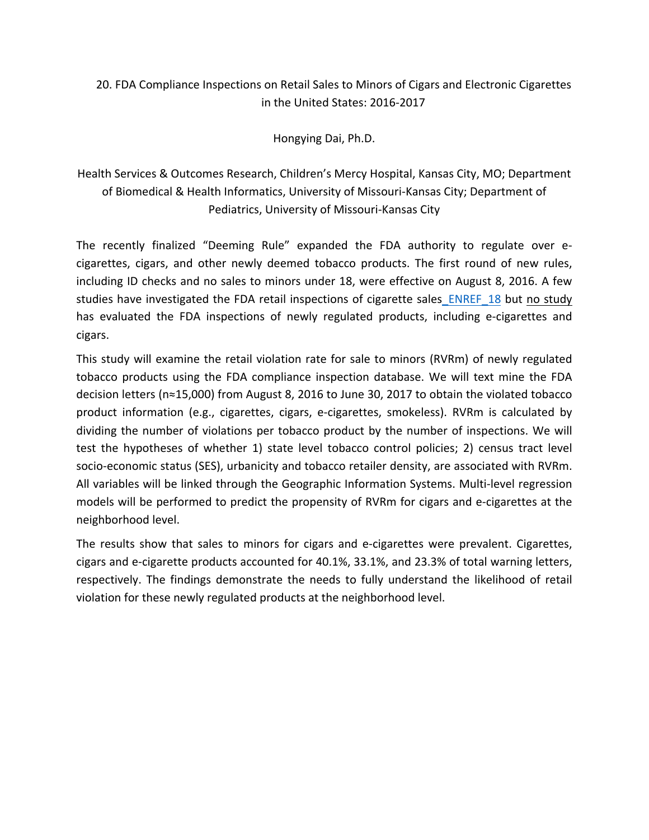# 20. FDA Compliance Inspections on Retail Sales to Minors of Cigars and Electronic Cigarettes in the United States: 2016-2017

Hongying Dai, Ph.D.

Health Services & Outcomes Research, Children's Mercy Hospital, Kansas City, MO; Department of Biomedical & Health Informatics, University of Missouri-Kansas City; Department of Pediatrics, University of Missouri-Kansas City

The recently finalized "Deeming Rule" expanded the FDA authority to regulate over ecigarettes, cigars, and other newly deemed tobacco products. The first round of new rules, including ID checks and no sales to minors under 18, were effective on August 8, 2016. A few studies have investigated the FDA retail inspections of cigarette sales ENREF 18 but no study has evaluated the FDA inspections of newly regulated products, including e-cigarettes and cigars. 

This study will examine the retail violation rate for sale to minors (RVRm) of newly regulated tobacco products using the FDA compliance inspection database. We will text mine the FDA decision letters ( $n \approx 15,000$ ) from August 8, 2016 to June 30, 2017 to obtain the violated tobacco product information (e.g., cigarettes, cigars, e-cigarettes, smokeless). RVRm is calculated by dividing the number of violations per tobacco product by the number of inspections. We will test the hypotheses of whether 1) state level tobacco control policies; 2) census tract level socio-economic status (SES), urbanicity and tobacco retailer density, are associated with RVRm. All variables will be linked through the Geographic Information Systems. Multi-level regression models will be performed to predict the propensity of RVRm for cigars and e-cigarettes at the neighborhood level. 

The results show that sales to minors for cigars and e-cigarettes were prevalent. Cigarettes, cigars and e-cigarette products accounted for 40.1%, 33.1%, and 23.3% of total warning letters, respectively. The findings demonstrate the needs to fully understand the likelihood of retail violation for these newly regulated products at the neighborhood level.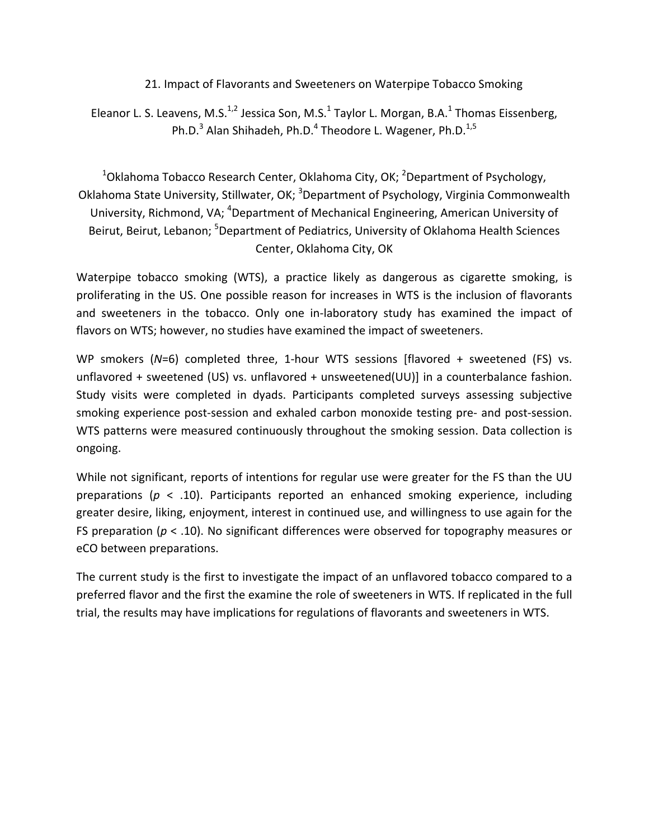21. Impact of Flavorants and Sweeteners on Waterpipe Tobacco Smoking

Eleanor L. S. Leavens, M.S.<sup>1,2</sup> Jessica Son, M.S.<sup>1</sup> Taylor L. Morgan, B.A.<sup>1</sup> Thomas Eissenberg, Ph.D.<sup>3</sup> Alan Shihadeh, Ph.D.<sup>4</sup> Theodore L. Wagener, Ph.D.<sup>1,5</sup>

 $^{1}$ Oklahoma Tobacco Research Center, Oklahoma City, OK;  $^{2}$ Department of Psychology, Oklahoma State University, Stillwater, OK; <sup>3</sup>Department of Psychology, Virginia Commonwealth University, Richmond, VA; <sup>4</sup>Department of Mechanical Engineering, American University of Beirut, Beirut, Lebanon; <sup>5</sup>Department of Pediatrics, University of Oklahoma Health Sciences Center, Oklahoma City, OK

Waterpipe tobacco smoking (WTS), a practice likely as dangerous as cigarette smoking, is proliferating in the US. One possible reason for increases in WTS is the inclusion of flavorants and sweeteners in the tobacco. Only one in-laboratory study has examined the impact of flavors on WTS; however, no studies have examined the impact of sweeteners.

WP smokers (N=6) completed three, 1-hour WTS sessions [flavored + sweetened (FS) vs. unflavored + sweetened (US) vs. unflavored + unsweetened(UU)] in a counterbalance fashion. Study visits were completed in dyads. Participants completed surveys assessing subjective smoking experience post-session and exhaled carbon monoxide testing pre- and post-session. WTS patterns were measured continuously throughout the smoking session. Data collection is ongoing.

While not significant, reports of intentions for regular use were greater for the FS than the UU preparations ( $p \leq 0.10$ ). Participants reported an enhanced smoking experience, including greater desire, liking, enjoyment, interest in continued use, and willingness to use again for the FS preparation  $(p < .10)$ . No significant differences were observed for topography measures or eCO between preparations.

The current study is the first to investigate the impact of an unflavored tobacco compared to a preferred flavor and the first the examine the role of sweeteners in WTS. If replicated in the full trial, the results may have implications for regulations of flavorants and sweeteners in WTS.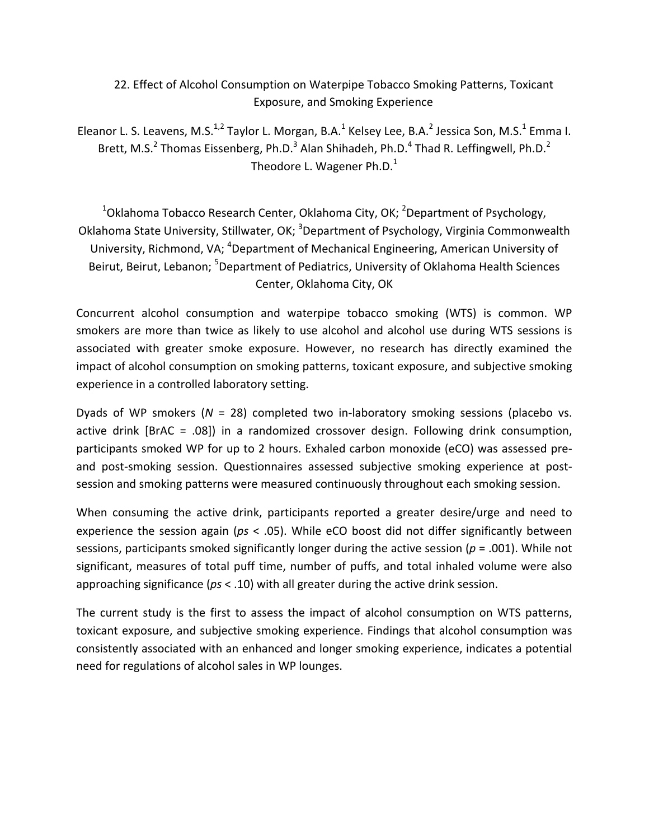## 22. Effect of Alcohol Consumption on Waterpipe Tobacco Smoking Patterns, Toxicant Exposure, and Smoking Experience

Eleanor L. S. Leavens, M.S.<sup>1,2</sup> Taylor L. Morgan, B.A.<sup>1</sup> Kelsey Lee, B.A.<sup>2</sup> Jessica Son, M.S.<sup>1</sup> Emma I. Brett, M.S.<sup>2</sup> Thomas Eissenberg, Ph.D.<sup>3</sup> Alan Shihadeh, Ph.D.<sup>4</sup> Thad R. Leffingwell, Ph.D.<sup>2</sup> Theodore L. Wagener  $Ph.D.<sup>1</sup>$ 

 $^{1}$ Oklahoma Tobacco Research Center, Oklahoma City, OK;  $^{2}$ Department of Psychology, Oklahoma State University, Stillwater, OK; <sup>3</sup>Department of Psychology, Virginia Commonwealth University, Richmond, VA; <sup>4</sup>Department of Mechanical Engineering, American University of Beirut, Beirut, Lebanon; <sup>5</sup>Department of Pediatrics, University of Oklahoma Health Sciences Center, Oklahoma City, OK

Concurrent alcohol consumption and waterpipe tobacco smoking (WTS) is common. WP smokers are more than twice as likely to use alcohol and alcohol use during WTS sessions is associated with greater smoke exposure. However, no research has directly examined the impact of alcohol consumption on smoking patterns, toxicant exposure, and subjective smoking experience in a controlled laboratory setting.

Dyads of WP smokers ( $N = 28$ ) completed two in-laboratory smoking sessions (placebo vs. active drink [BrAC = .08]) in a randomized crossover design. Following drink consumption, participants smoked WP for up to 2 hours. Exhaled carbon monoxide (eCO) was assessed preand post-smoking session. Questionnaires assessed subjective smoking experience at postsession and smoking patterns were measured continuously throughout each smoking session.

When consuming the active drink, participants reported a greater desire/urge and need to experience the session again (ps < .05). While eCO boost did not differ significantly between sessions, participants smoked significantly longer during the active session ( $p = .001$ ). While not significant, measures of total puff time, number of puffs, and total inhaled volume were also approaching significance ( $ps < .10$ ) with all greater during the active drink session.

The current study is the first to assess the impact of alcohol consumption on WTS patterns, toxicant exposure, and subjective smoking experience. Findings that alcohol consumption was consistently associated with an enhanced and longer smoking experience, indicates a potential need for regulations of alcohol sales in WP lounges.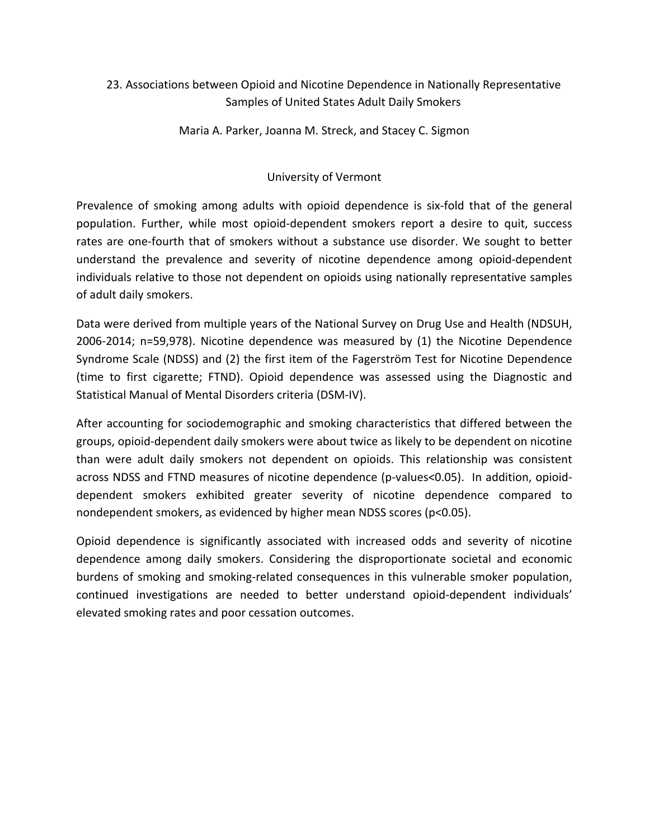## 23. Associations between Opioid and Nicotine Dependence in Nationally Representative Samples of United States Adult Daily Smokers

Maria A. Parker, Joanna M. Streck, and Stacey C. Sigmon

#### University of Vermont

Prevalence of smoking among adults with opioid dependence is six-fold that of the general population. Further, while most opioid-dependent smokers report a desire to quit, success rates are one-fourth that of smokers without a substance use disorder. We sought to better understand the prevalence and severity of nicotine dependence among opioid-dependent individuals relative to those not dependent on opioids using nationally representative samples of adult daily smokers.

Data were derived from multiple years of the National Survey on Drug Use and Health (NDSUH, 2006-2014;  $n=59,978$ ). Nicotine dependence was measured by  $(1)$  the Nicotine Dependence Syndrome Scale (NDSS) and (2) the first item of the Fagerström Test for Nicotine Dependence (time to first cigarette; FTND). Opioid dependence was assessed using the Diagnostic and Statistical Manual of Mental Disorders criteria (DSM-IV).

After accounting for sociodemographic and smoking characteristics that differed between the groups, opioid-dependent daily smokers were about twice as likely to be dependent on nicotine than were adult daily smokers not dependent on opioids. This relationship was consistent across NDSS and FTND measures of nicotine dependence (p-values<0.05). In addition, opioiddependent smokers exhibited greater severity of nicotine dependence compared to nondependent smokers, as evidenced by higher mean NDSS scores (p<0.05).

Opioid dependence is significantly associated with increased odds and severity of nicotine dependence among daily smokers. Considering the disproportionate societal and economic burdens of smoking and smoking-related consequences in this vulnerable smoker population, continued investigations are needed to better understand opioid-dependent individuals' elevated smoking rates and poor cessation outcomes.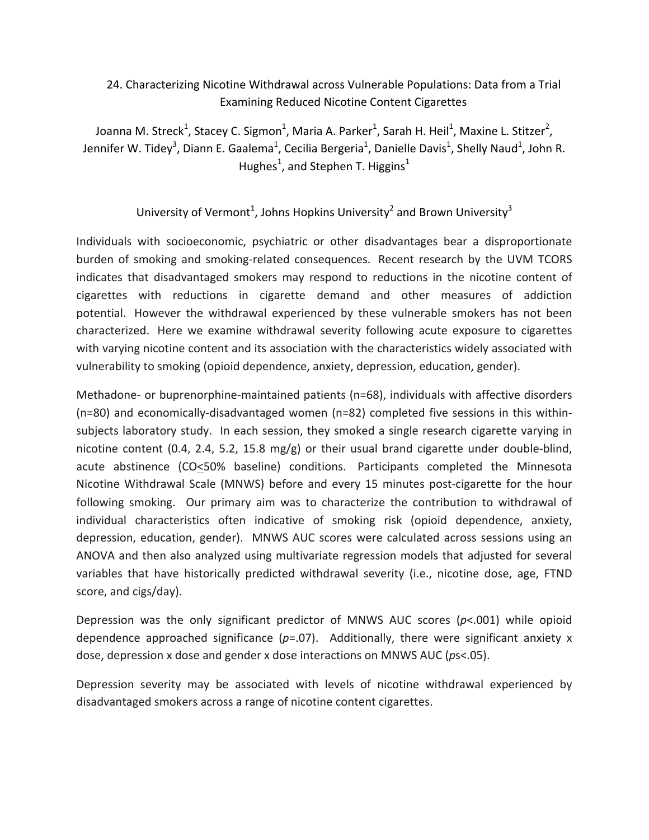## 24. Characterizing Nicotine Withdrawal across Vulnerable Populations: Data from a Trial Examining Reduced Nicotine Content Cigarettes

Joanna M. Streck<sup>1</sup>, Stacey C. Sigmon<sup>1</sup>, Maria A. Parker<sup>1</sup>, Sarah H. Heil<sup>1</sup>, Maxine L. Stitzer<sup>2</sup>, Jennifer W. Tidey<sup>3</sup>, Diann E. Gaalema<sup>1</sup>, Cecilia Bergeria<sup>1</sup>, Danielle Davis<sup>1</sup>, Shelly Naud<sup>1</sup>, John R. Hughes<sup>1</sup>, and Stephen T. Higgins<sup>1</sup>

#### University of Vermont<sup>1</sup>, Johns Hopkins University<sup>2</sup> and Brown University<sup>3</sup>

Individuals with socioeconomic, psychiatric or other disadvantages bear a disproportionate burden of smoking and smoking-related consequences. Recent research by the UVM TCORS indicates that disadvantaged smokers may respond to reductions in the nicotine content of cigarettes with reductions in cigarette demand and other measures of addiction potential. However the withdrawal experienced by these vulnerable smokers has not been characterized. Here we examine withdrawal severity following acute exposure to cigarettes with varying nicotine content and its association with the characteristics widely associated with vulnerability to smoking (opioid dependence, anxiety, depression, education, gender).

Methadone- or buprenorphine-maintained patients  $(n=68)$ , individuals with affective disorders  $(n=80)$  and economically-disadvantaged women  $(n=82)$  completed five sessions in this withinsubjects laboratory study. In each session, they smoked a single research cigarette varying in nicotine content  $(0.4, 2.4, 5.2, 15.8 \text{ mg/g})$  or their usual brand cigarette under double-blind, acute abstinence (CO<50% baseline) conditions. Participants completed the Minnesota Nicotine Withdrawal Scale (MNWS) before and every 15 minutes post-cigarette for the hour following smoking. Our primary aim was to characterize the contribution to withdrawal of individual characteristics often indicative of smoking risk (opioid dependence, anxiety, depression, education, gender). MNWS AUC scores were calculated across sessions using an ANOVA and then also analyzed using multivariate regression models that adjusted for several variables that have historically predicted withdrawal severity (i.e., nicotine dose, age, FTND score, and cigs/day).

Depression was the only significant predictor of MNWS AUC scores  $(p< .001)$  while opioid dependence approached significance  $(p=0.07)$ . Additionally, there were significant anxiety x dose, depression x dose and gender x dose interactions on MNWS AUC (*ps*<.05).

Depression severity may be associated with levels of nicotine withdrawal experienced by disadvantaged smokers across a range of nicotine content cigarettes.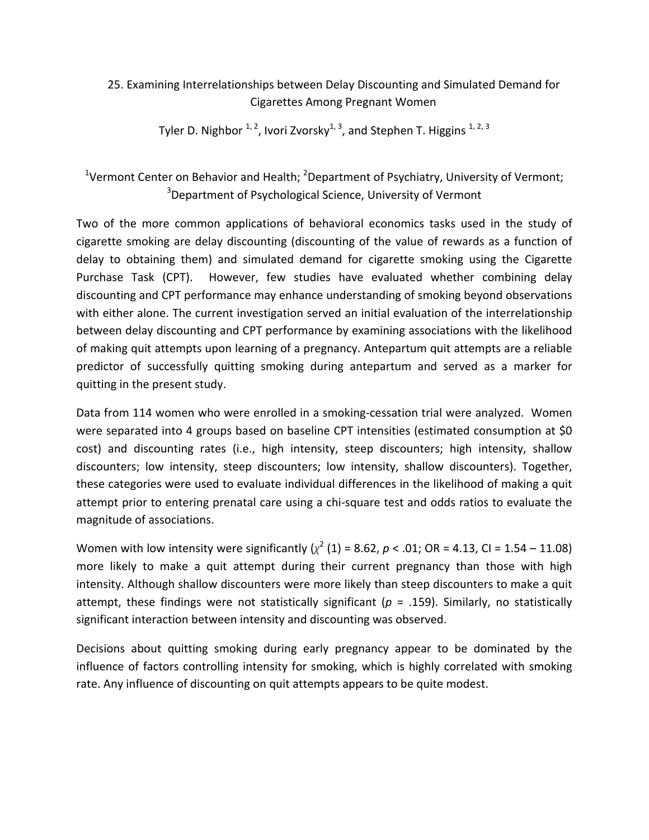## 25. Examining Interrelationships between Delay Discounting and Simulated Demand for Cigarettes Among Pregnant Women

Tyler D. Nighbor  $1, 2$ , Ivori Zvorsky $1, 3$ , and Stephen T. Higgins  $1, 2, 3$ 

<sup>1</sup>Vermont Center on Behavior and Health;  ${}^{2}$ Department of Psychiatry, University of Vermont;  $3$ Department of Psychological Science, University of Vermont

Two of the more common applications of behavioral economics tasks used in the study of cigarette smoking are delay discounting (discounting of the value of rewards as a function of delay to obtaining them) and simulated demand for cigarette smoking using the Cigarette Purchase Task (CPT). However, few studies have evaluated whether combining delay discounting and CPT performance may enhance understanding of smoking beyond observations with either alone. The current investigation served an initial evaluation of the interrelationship between delay discounting and CPT performance by examining associations with the likelihood of making quit attempts upon learning of a pregnancy. Antepartum quit attempts are a reliable predictor of successfully quitting smoking during antepartum and served as a marker for quitting in the present study.

Data from 114 women who were enrolled in a smoking-cessation trial were analyzed. Women were separated into 4 groups based on baseline CPT intensities (estimated consumption at \$0 cost) and discounting rates (i.e., high intensity, steep discounters; high intensity, shallow discounters; low intensity, steep discounters; low intensity, shallow discounters). Together, these categories were used to evaluate individual differences in the likelihood of making a quit attempt prior to entering prenatal care using a chi-square test and odds ratios to evaluate the magnitude of associations.

Women with low intensity were significantly  $(\chi^2)(1) = 8.62$ ,  $p < .01$ ; OR = 4.13, CI = 1.54 – 11.08) more likely to make a quit attempt during their current pregnancy than those with high intensity. Although shallow discounters were more likely than steep discounters to make a quit attempt, these findings were not statistically significant ( $p = .159$ ). Similarly, no statistically significant interaction between intensity and discounting was observed.

Decisions about quitting smoking during early pregnancy appear to be dominated by the influence of factors controlling intensity for smoking, which is highly correlated with smoking rate. Any influence of discounting on quit attempts appears to be quite modest.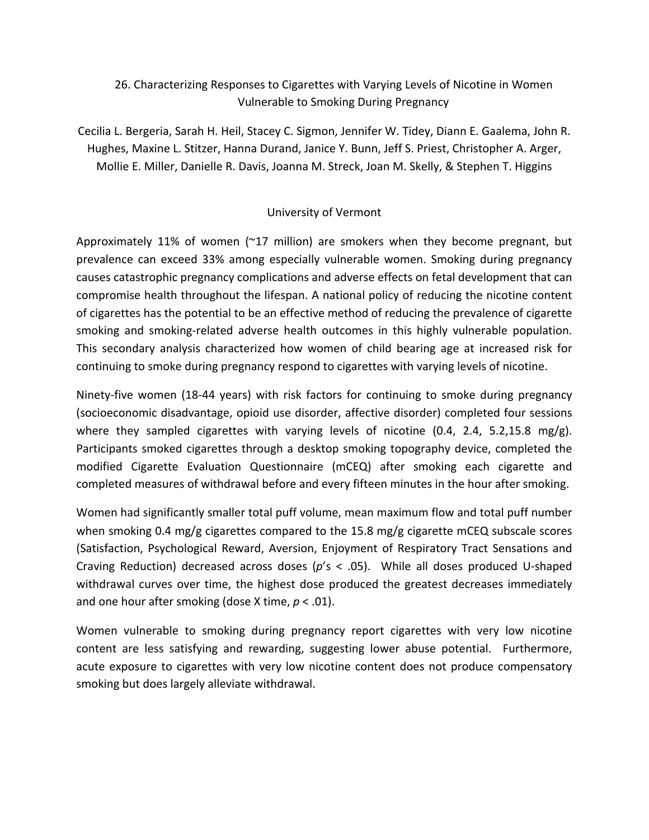# 26. Characterizing Responses to Cigarettes with Varying Levels of Nicotine in Women Vulnerable to Smoking During Pregnancy

Cecilia L. Bergeria, Sarah H. Heil, Stacey C. Sigmon, Jennifer W. Tidey, Diann E. Gaalema, John R. Hughes, Maxine L. Stitzer, Hanna Durand, Janice Y. Bunn, Jeff S. Priest, Christopher A. Arger, Mollie E. Miller, Danielle R. Davis, Joanna M. Streck, Joan M. Skelly, & Stephen T. Higgins

#### University of Vermont

Approximately 11% of women  $(\sim 17)$  million) are smokers when they become pregnant, but prevalence can exceed 33% among especially vulnerable women. Smoking during pregnancy causes catastrophic pregnancy complications and adverse effects on fetal development that can compromise health throughout the lifespan. A national policy of reducing the nicotine content of cigarettes has the potential to be an effective method of reducing the prevalence of cigarette smoking and smoking-related adverse health outcomes in this highly vulnerable population. This secondary analysis characterized how women of child bearing age at increased risk for continuing to smoke during pregnancy respond to cigarettes with varying levels of nicotine.

Ninety-five women (18-44 years) with risk factors for continuing to smoke during pregnancy (socioeconomic disadvantage, opioid use disorder, affective disorder) completed four sessions where they sampled cigarettes with varying levels of nicotine  $(0.4, 2.4, 5.2,15.8 \text{ mg/g}).$ Participants smoked cigarettes through a desktop smoking topography device, completed the modified Cigarette Evaluation Questionnaire (mCEQ) after smoking each cigarette and completed measures of withdrawal before and every fifteen minutes in the hour after smoking.

Women had significantly smaller total puff volume, mean maximum flow and total puff number when smoking 0.4 mg/g cigarettes compared to the 15.8 mg/g cigarette mCEQ subscale scores (Satisfaction, Psychological Reward, Aversion, Enjoyment of Respiratory Tract Sensations and Craving Reduction) decreased across doses (p's < .05). While all doses produced U-shaped withdrawal curves over time, the highest dose produced the greatest decreases immediately and one hour after smoking (dose X time,  $p < .01$ ).

Women vulnerable to smoking during pregnancy report cigarettes with very low nicotine content are less satisfying and rewarding, suggesting lower abuse potential. Furthermore, acute exposure to cigarettes with very low nicotine content does not produce compensatory smoking but does largely alleviate withdrawal.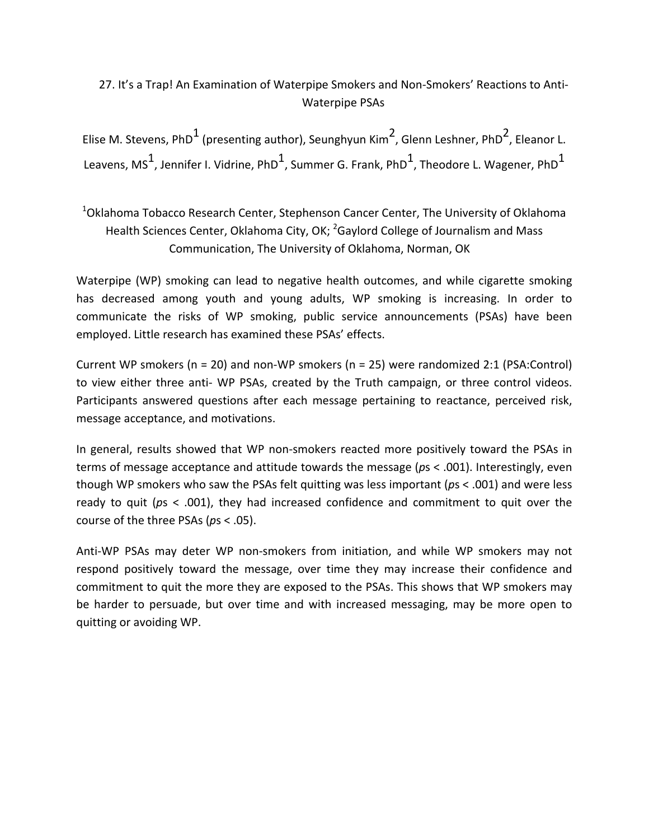# 27. It's a Trap! An Examination of Waterpipe Smokers and Non-Smokers' Reactions to Anti-Waterpipe PSAs

Elise M. Stevens, PhD<sup>1</sup> (presenting author), Seunghyun Kim<sup>2</sup>, Glenn Leshner, PhD<sup>2</sup>, Eleanor L. Leavens, MS $^1$ , Jennifer I. Vidrine, PhD $^1$ , Summer G. Frank, PhD $^1$ , Theodore L. Wagener, PhD $^1$ 

 $^{1}$ Oklahoma Tobacco Research Center, Stephenson Cancer Center, The University of Oklahoma Health Sciences Center, Oklahoma City, OK;  ${}^{2}$ Gaylord College of Journalism and Mass Communication, The University of Oklahoma, Norman, OK

Waterpipe (WP) smoking can lead to negative health outcomes, and while cigarette smoking has decreased among youth and young adults, WP smoking is increasing. In order to communicate the risks of WP smoking, public service announcements (PSAs) have been employed. Little research has examined these PSAs' effects.

Current WP smokers ( $n = 20$ ) and non-WP smokers ( $n = 25$ ) were randomized 2:1 (PSA:Control) to view either three anti- WP PSAs, created by the Truth campaign, or three control videos. Participants answered questions after each message pertaining to reactance, perceived risk, message acceptance, and motivations.

In general, results showed that WP non-smokers reacted more positively toward the PSAs in terms of message acceptance and attitude towards the message ( $ps < .001$ ). Interestingly, even though WP smokers who saw the PSAs felt quitting was less important ( $p_s$  < .001) and were less ready to quit (ps < .001), they had increased confidence and commitment to quit over the course of the three PSAs ( $ps < .05$ ).

Anti-WP PSAs may deter WP non-smokers from initiation, and while WP smokers may not respond positively toward the message, over time they may increase their confidence and commitment to quit the more they are exposed to the PSAs. This shows that WP smokers may be harder to persuade, but over time and with increased messaging, may be more open to quitting or avoiding WP.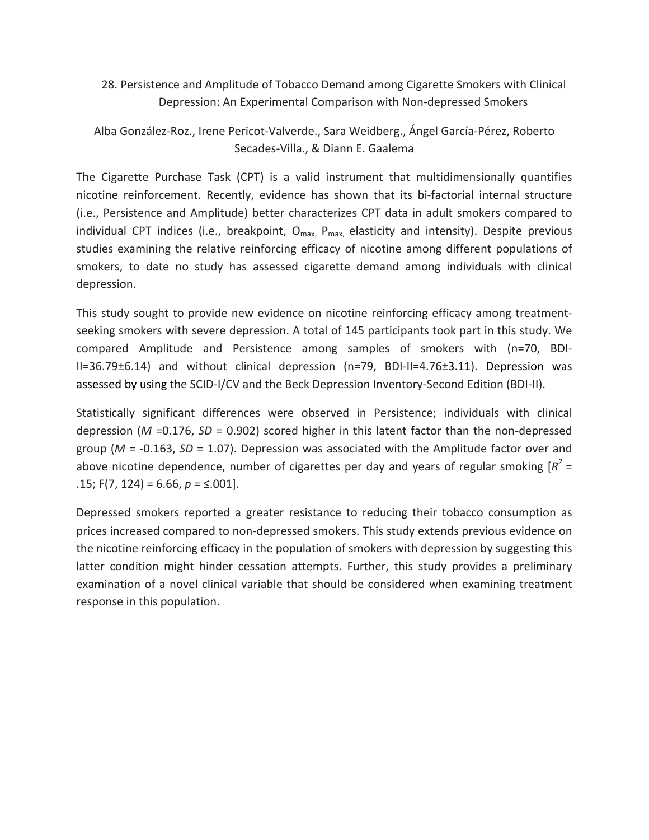28. Persistence and Amplitude of Tobacco Demand among Cigarette Smokers with Clinical Depression: An Experimental Comparison with Non-depressed Smokers

Alba González-Roz., Irene Pericot-Valverde., Sara Weidberg., Ángel García-Pérez, Roberto Secades-Villa., & Diann E. Gaalema

The Cigarette Purchase Task (CPT) is a valid instrument that multidimensionally quantifies nicotine reinforcement. Recently, evidence has shown that its bi-factorial internal structure (i.e., Persistence and Amplitude) better characterizes CPT data in adult smokers compared to individual CPT indices (i.e., breakpoint,  $O_{\text{max}}$ ,  $P_{\text{max}}$ , elasticity and intensity). Despite previous studies examining the relative reinforcing efficacy of nicotine among different populations of smokers, to date no study has assessed cigarette demand among individuals with clinical depression.

This study sought to provide new evidence on nicotine reinforcing efficacy among treatmentseeking smokers with severe depression. A total of 145 participants took part in this study. We compared Amplitude and Persistence among samples of smokers with (n=70, BDI-II=36.79±6.14) and without clinical depression (n=79, BDI-II=4.76±3.11). Depression was assessed by using the SCID-I/CV and the Beck Depression Inventory-Second Edition (BDI-II).

Statistically significant differences were observed in Persistence; individuals with clinical depression ( $M = 0.176$ ,  $SD = 0.902$ ) scored higher in this latent factor than the non-depressed group ( $M = -0.163$ ,  $SD = 1.07$ ). Depression was associated with the Amplitude factor over and above nicotine dependence, number of cigarettes per day and years of regular smoking  $[R^2 =$ .15;  $F(7, 124) = 6.66$ ,  $p = \le .001$ .

Depressed smokers reported a greater resistance to reducing their tobacco consumption as prices increased compared to non-depressed smokers. This study extends previous evidence on the nicotine reinforcing efficacy in the population of smokers with depression by suggesting this latter condition might hinder cessation attempts. Further, this study provides a preliminary examination of a novel clinical variable that should be considered when examining treatment response in this population.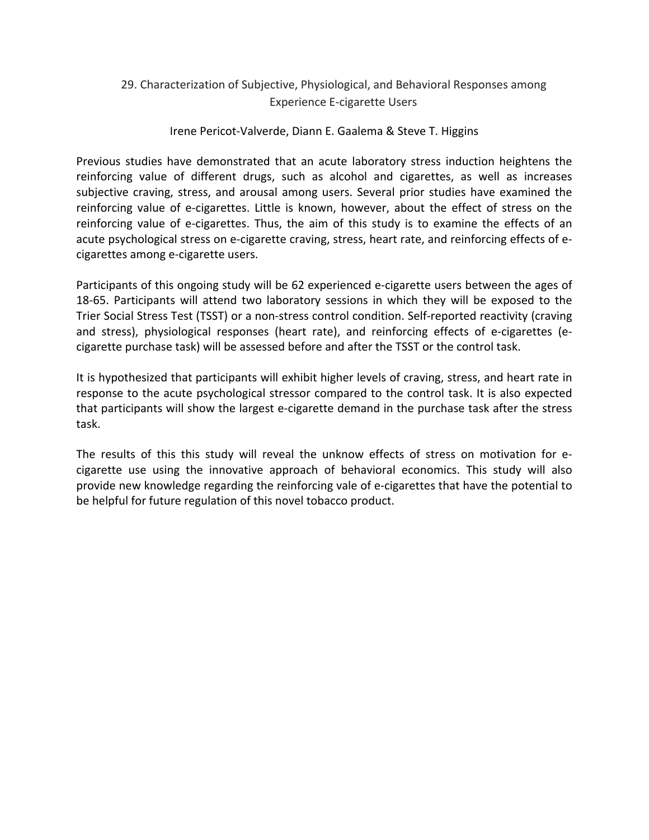#### 29. Characterization of Subjective, Physiological, and Behavioral Responses among Experience E-cigarette Users

Irene Pericot-Valverde, Diann E. Gaalema & Steve T. Higgins

Previous studies have demonstrated that an acute laboratory stress induction heightens the reinforcing value of different drugs, such as alcohol and cigarettes, as well as increases subjective craving, stress, and arousal among users. Several prior studies have examined the reinforcing value of e-cigarettes. Little is known, however, about the effect of stress on the reinforcing value of e-cigarettes. Thus, the aim of this study is to examine the effects of an acute psychological stress on e-cigarette craving, stress, heart rate, and reinforcing effects of ecigarettes among e-cigarette users.

Participants of this ongoing study will be 62 experienced e-cigarette users between the ages of 18-65. Participants will attend two laboratory sessions in which they will be exposed to the Trier Social Stress Test (TSST) or a non-stress control condition. Self-reported reactivity (craving and stress), physiological responses (heart rate), and reinforcing effects of e-cigarettes (ecigarette purchase task) will be assessed before and after the TSST or the control task.

It is hypothesized that participants will exhibit higher levels of craving, stress, and heart rate in response to the acute psychological stressor compared to the control task. It is also expected that participants will show the largest e-cigarette demand in the purchase task after the stress task.

The results of this this study will reveal the unknow effects of stress on motivation for ecigarette use using the innovative approach of behavioral economics. This study will also provide new knowledge regarding the reinforcing vale of e-cigarettes that have the potential to be helpful for future regulation of this novel tobacco product.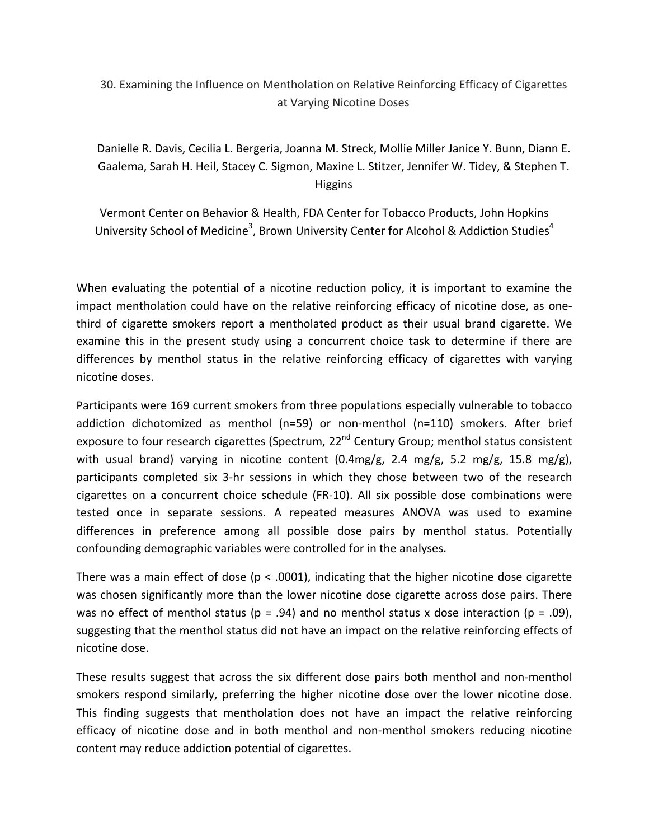# 30. Examining the Influence on Mentholation on Relative Reinforcing Efficacy of Cigarettes at Varying Nicotine Doses

Danielle R. Davis, Cecilia L. Bergeria, Joanna M. Streck, Mollie Miller Janice Y. Bunn, Diann E. Gaalema, Sarah H. Heil, Stacey C. Sigmon, Maxine L. Stitzer, Jennifer W. Tidey, & Stephen T. Higgins

Vermont Center on Behavior & Health, FDA Center for Tobacco Products, John Hopkins University School of Medicine<sup>3</sup>, Brown University Center for Alcohol & Addiction Studies<sup>4</sup>

When evaluating the potential of a nicotine reduction policy, it is important to examine the impact mentholation could have on the relative reinforcing efficacy of nicotine dose, as onethird of cigarette smokers report a mentholated product as their usual brand cigarette. We examine this in the present study using a concurrent choice task to determine if there are differences by menthol status in the relative reinforcing efficacy of cigarettes with varying nicotine doses. 

Participants were 169 current smokers from three populations especially vulnerable to tobacco addiction dichotomized as menthol (n=59) or non-menthol (n=110) smokers. After brief exposure to four research cigarettes (Spectrum, 22<sup>nd</sup> Century Group; menthol status consistent with usual brand) varying in nicotine content  $(0.4mg/g, 2.4 mg/g, 5.2 mg/g, 15.8 mg/g)$ , participants completed six 3-hr sessions in which they chose between two of the research cigarettes on a concurrent choice schedule (FR-10). All six possible dose combinations were tested once in separate sessions. A repeated measures ANOVA was used to examine differences in preference among all possible dose pairs by menthol status. Potentially confounding demographic variables were controlled for in the analyses.

There was a main effect of dose ( $p < .0001$ ), indicating that the higher nicotine dose cigarette was chosen significantly more than the lower nicotine dose cigarette across dose pairs. There was no effect of menthol status ( $p = .94$ ) and no menthol status x dose interaction ( $p = .09$ ), suggesting that the menthol status did not have an impact on the relative reinforcing effects of nicotine dose.

These results suggest that across the six different dose pairs both menthol and non-menthol smokers respond similarly, preferring the higher nicotine dose over the lower nicotine dose. This finding suggests that mentholation does not have an impact the relative reinforcing efficacy of nicotine dose and in both menthol and non-menthol smokers reducing nicotine content may reduce addiction potential of cigarettes.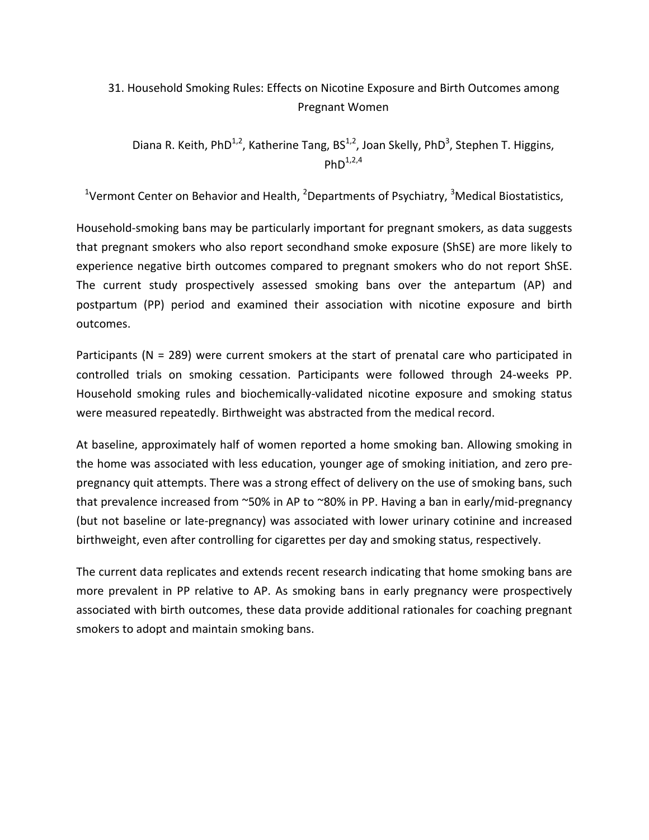# 31. Household Smoking Rules: Effects on Nicotine Exposure and Birth Outcomes among Pregnant Women

Diana R. Keith, PhD<sup>1,2</sup>, Katherine Tang, BS<sup>1,2</sup>, Joan Skelly, PhD<sup>3</sup>, Stephen T. Higgins, PhD $^{1,2,4}$ 

<sup>1</sup>Vermont Center on Behavior and Health, <sup>2</sup>Departments of Psychiatry, <sup>3</sup>Medical Biostatistics,

Household-smoking bans may be particularly important for pregnant smokers, as data suggests that pregnant smokers who also report secondhand smoke exposure (ShSE) are more likely to experience negative birth outcomes compared to pregnant smokers who do not report ShSE. The current study prospectively assessed smoking bans over the antepartum (AP) and postpartum (PP) period and examined their association with nicotine exposure and birth outcomes.

Participants ( $N = 289$ ) were current smokers at the start of prenatal care who participated in controlled trials on smoking cessation. Participants were followed through 24-weeks PP. Household smoking rules and biochemically-validated nicotine exposure and smoking status were measured repeatedly. Birthweight was abstracted from the medical record.

At baseline, approximately half of women reported a home smoking ban. Allowing smoking in the home was associated with less education, younger age of smoking initiation, and zero prepregnancy quit attempts. There was a strong effect of delivery on the use of smoking bans, such that prevalence increased from  $\sim$ 50% in AP to  $\sim$ 80% in PP. Having a ban in early/mid-pregnancy (but not baseline or late-pregnancy) was associated with lower urinary cotinine and increased birthweight, even after controlling for cigarettes per day and smoking status, respectively.

The current data replicates and extends recent research indicating that home smoking bans are more prevalent in PP relative to AP. As smoking bans in early pregnancy were prospectively associated with birth outcomes, these data provide additional rationales for coaching pregnant smokers to adopt and maintain smoking bans.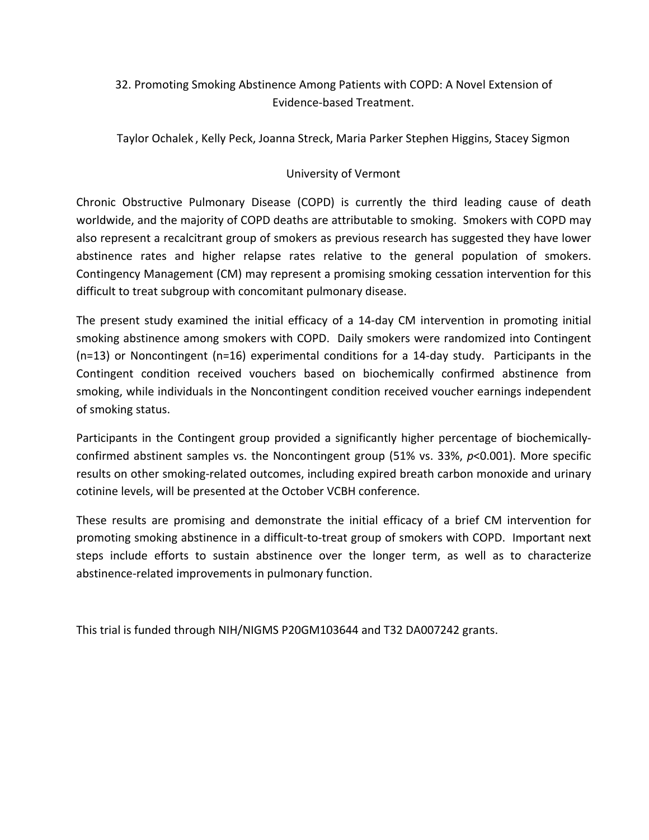# 32. Promoting Smoking Abstinence Among Patients with COPD: A Novel Extension of Evidence-based Treatment.

Taylor Ochalek, Kelly Peck, Joanna Streck, Maria Parker Stephen Higgins, Stacey Sigmon

#### University of Vermont

Chronic Obstructive Pulmonary Disease (COPD) is currently the third leading cause of death worldwide, and the majority of COPD deaths are attributable to smoking. Smokers with COPD may also represent a recalcitrant group of smokers as previous research has suggested they have lower abstinence rates and higher relapse rates relative to the general population of smokers. Contingency Management (CM) may represent a promising smoking cessation intervention for this difficult to treat subgroup with concomitant pulmonary disease.

The present study examined the initial efficacy of a 14-day CM intervention in promoting initial smoking abstinence among smokers with COPD. Daily smokers were randomized into Contingent  $(n=13)$  or Noncontingent  $(n=16)$  experimental conditions for a 14-day study. Participants in the Contingent condition received vouchers based on biochemically confirmed abstinence from smoking, while individuals in the Noncontingent condition received voucher earnings independent of smoking status.

Participants in the Contingent group provided a significantly higher percentage of biochemicallyconfirmed abstinent samples vs. the Noncontingent group (51% vs. 33%, *p*<0.001). More specific results on other smoking-related outcomes, including expired breath carbon monoxide and urinary cotinine levels, will be presented at the October VCBH conference.

These results are promising and demonstrate the initial efficacy of a brief CM intervention for promoting smoking abstinence in a difficult-to-treat group of smokers with COPD. Important next steps include efforts to sustain abstinence over the longer term, as well as to characterize abstinence-related improvements in pulmonary function.

This trial is funded through NIH/NIGMS P20GM103644 and T32 DA007242 grants.